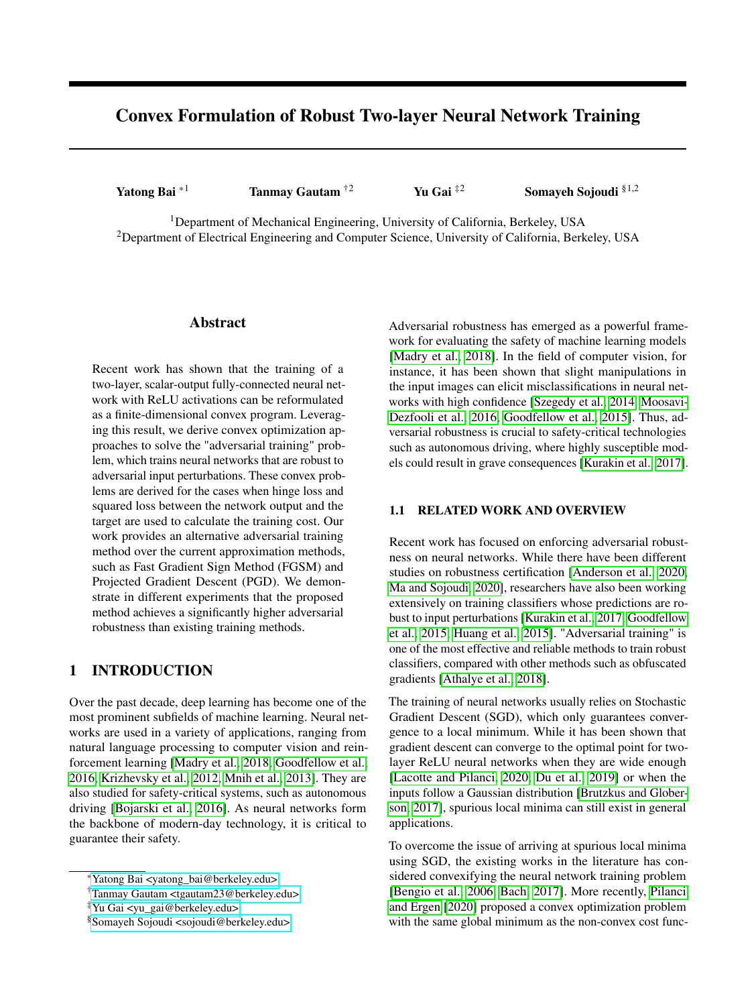# Convex Formulation of Robust Two-layer Neural Network Training

Yatong Bai  $*1$  Tanmay Gautam  $\dot{z}^2$  Yu Gai  $\dot{z}^2$  Somayeh Sojoudi  $\S^{1,2}$ 

<sup>1</sup>Department of Mechanical Engineering, University of California, Berkeley, USA <sup>2</sup>Department of Electrical Engineering and Computer Science, University of California, Berkeley, USA

### Abstract

Recent work has shown that the training of a two-layer, scalar-output fully-connected neural network with ReLU activations can be reformulated as a finite-dimensional convex program. Leveraging this result, we derive convex optimization approaches to solve the "adversarial training" problem, which trains neural networks that are robust to adversarial input perturbations. These convex problems are derived for the cases when hinge loss and squared loss between the network output and the target are used to calculate the training cost. Our work provides an alternative adversarial training method over the current approximation methods, such as Fast Gradient Sign Method (FGSM) and Projected Gradient Descent (PGD). We demonstrate in different experiments that the proposed method achieves a significantly higher adversarial robustness than existing training methods.

## 1 INTRODUCTION

Over the past decade, deep learning has become one of the most prominent subfields of machine learning. Neural networks are used in a variety of applications, ranging from natural language processing to computer vision and reinforcement learning [\[Madry et al., 2018,](#page-9-0) [Goodfellow et al.,](#page-8-0) [2016,](#page-8-0) [Krizhevsky et al., 2012,](#page-8-1) [Mnih et al., 2013\]](#page-9-1). They are also studied for safety-critical systems, such as autonomous driving [\[Bojarski et al., 2016\]](#page-8-2). As neural networks form the backbone of modern-day technology, it is critical to guarantee their safety.

Adversarial robustness has emerged as a powerful framework for evaluating the safety of machine learning models [\[Madry et al., 2018\]](#page-9-0). In the field of computer vision, for instance, it has been shown that slight manipulations in the input images can elicit misclassifications in neural networks with high confidence [\[Szegedy et al., 2014,](#page-9-2) [Moosavi-](#page-9-3)[Dezfooli et al., 2016,](#page-9-3) [Goodfellow et al., 2015\]](#page-8-3). Thus, adversarial robustness is crucial to safety-critical technologies such as autonomous driving, where highly susceptible models could result in grave consequences [\[Kurakin et al., 2017\]](#page-8-4).

## 1.1 RELATED WORK AND OVERVIEW

Recent work has focused on enforcing adversarial robustness on neural networks. While there have been different studies on robustness certification [\[Anderson et al., 2020,](#page-8-5) [Ma and Sojoudi, 2020\]](#page-9-4), researchers have also been working extensively on training classifiers whose predictions are robust to input perturbations [\[Kurakin et al., 2017,](#page-8-4) [Goodfellow](#page-8-3) [et al., 2015,](#page-8-3) [Huang et al., 2015\]](#page-8-6). "Adversarial training" is one of the most effective and reliable methods to train robust classifiers, compared with other methods such as obfuscated gradients [\[Athalye et al., 2018\]](#page-8-7).

The training of neural networks usually relies on Stochastic Gradient Descent (SGD), which only guarantees convergence to a local minimum. While it has been shown that gradient descent can converge to the optimal point for twolayer ReLU neural networks when they are wide enough [\[Lacotte and Pilanci, 2020,](#page-8-8) [Du et al., 2019\]](#page-8-9) or when the inputs follow a Gaussian distribution [\[Brutzkus and Glober](#page-8-10)[son, 2017\]](#page-8-10), spurious local minima can still exist in general applications.

To overcome the issue of arriving at spurious local minima using SGD, the existing works in the literature has considered convexifying the neural network training problem [\[Bengio et al., 2006,](#page-8-11) [Bach, 2017\]](#page-8-12). More recently, [Pilanci](#page-9-5) [and Ergen](#page-9-5) [\[2020\]](#page-9-5) proposed a convex optimization problem with the same global minimum as the non-convex cost func-

<sup>\*</sup>[Yatong Bai <yatong\\_bai@berkeley.edu>](mailto:Yatong Bai <yatong_bai@berkeley.edu>?Subject=Your UAI 2021 paper)

<sup>†</sup>[Tanmay Gautam <tgautam23@berkeley.edu>](mailto:Tanmay Gautam <tgautam23@berkeley.edu>?Subject=Your UAI 2021 paper)

<sup>‡</sup>[Yu Gai <yu\\_gai@berkeley.edu>](mailto:Yu Gai <yu_gai@berkeley.edu>?Subject=Your UAI 2021 paper)

<sup>§</sup>[Somayeh Sojoudi <sojoudi@berkeley.edu>](mailto:Somayeh Sojoudi <sojoudi@berkeley.edu>?Subject=Your UAI 2021 paper)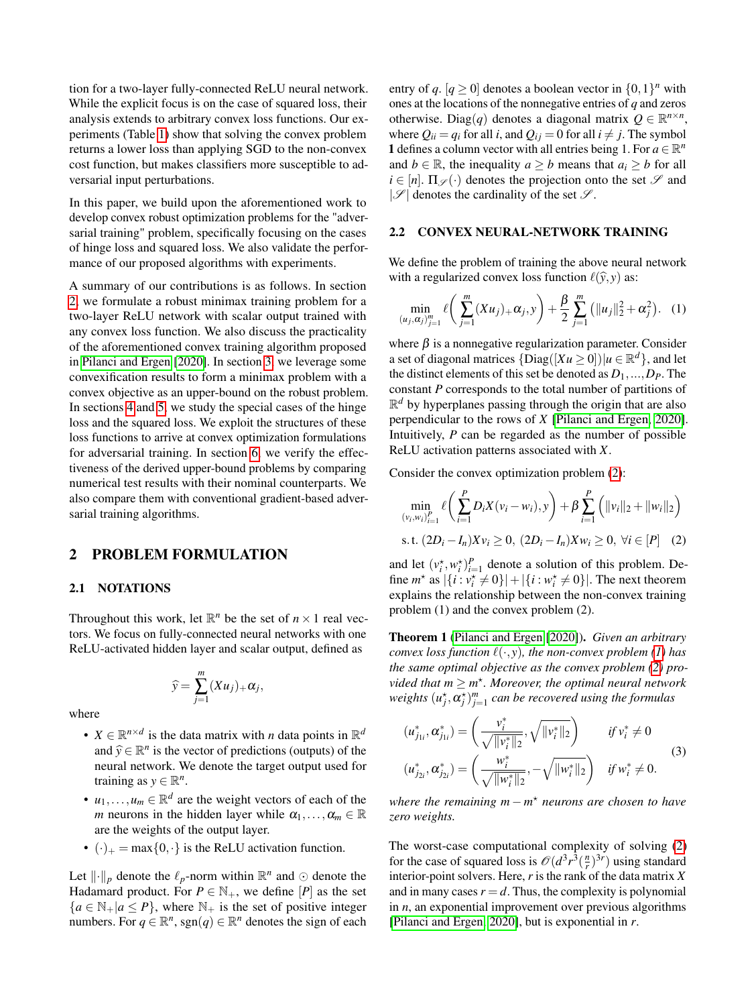tion for a two-layer fully-connected ReLU neural network. While the explicit focus is on the case of squared loss, their analysis extends to arbitrary convex loss functions. Our experiments (Table [1\)](#page-6-0) show that solving the convex problem returns a lower loss than applying SGD to the non-convex cost function, but makes classifiers more susceptible to adversarial input perturbations.

In this paper, we build upon the aforementioned work to develop convex robust optimization problems for the "adversarial training" problem, specifically focusing on the cases of hinge loss and squared loss. We also validate the performance of our proposed algorithms with experiments.

A summary of our contributions is as follows. In section [2,](#page-1-0) we formulate a robust minimax training problem for a two-layer ReLU network with scalar output trained with any convex loss function. We also discuss the practicality of the aforementioned convex training algorithm proposed in [Pilanci and Ergen](#page-9-5) [\[2020\]](#page-9-5). In section [3,](#page-2-0) we leverage some convexification results to form a minimax problem with a convex objective as an upper-bound on the robust problem. In sections [4](#page-3-0) and [5,](#page-4-0) we study the special cases of the hinge loss and the squared loss. We exploit the structures of these loss functions to arrive at convex optimization formulations for adversarial training. In section [6,](#page-5-0) we verify the effectiveness of the derived upper-bound problems by comparing numerical test results with their nominal counterparts. We also compare them with conventional gradient-based adversarial training algorithms.

## <span id="page-1-0"></span>2 PROBLEM FORMULATION

### 2.1 NOTATIONS

Throughout this work, let  $\mathbb{R}^n$  be the set of  $n \times 1$  real vectors. We focus on fully-connected neural networks with one ReLU-activated hidden layer and scalar output, defined as

$$
\widehat{y} = \sum_{j=1}^m (Xu_j)_+ \alpha_j,
$$

where

- $X \in \mathbb{R}^{n \times d}$  is the data matrix with *n* data points in  $\mathbb{R}^d$ and  $\hat{y} \in \mathbb{R}^n$  is the vector of predictions (outputs) of the naural natural: We denote the terget output used for neural network. We denote the target output used for training as  $y \in \mathbb{R}^n$ .
- $u_1, \ldots, u_m \in \mathbb{R}^d$  are the weight vectors of each of the *m* neurons in the hidden layer while  $\alpha_1, \ldots, \alpha_m \in \mathbb{R}$ are the weights of the output layer.
- $(\cdot)_+$  = max $\{0, \cdot\}$  is the ReLU activation function.

Let  $\lVert \cdot \rVert_p$  denote the  $\ell_p$ -norm within  $\mathbb{R}^n$  and  $\odot$  denote the Hadamard product. For  $P \in \mathbb{N}_+$ , we define  $[P]$  as the set  ${a \in \mathbb{N}_+ | a \le P}$ , where  $\mathbb{N}_+$  is the set of positive integer numbers. For  $q \in \mathbb{R}^n$ , sgn $(q) \in \mathbb{R}^n$  denotes the sign of each

entry of  $q$ .  $[q \ge 0]$  denotes a boolean vector in  $\{0,1\}^n$  with ones at the locations of the nonnegative entries of *q* and zeros otherwise. Diag(q) denotes a diagonal matrix  $Q \in \mathbb{R}^{n \times n}$ , where  $Q_{ii} = q_i$  for all *i*, and  $Q_{ij} = 0$  for all  $i \neq j$ . The symbol **1** defines a column vector with all entries being 1. For  $a \in \mathbb{R}^n$ and *b* ∈ R, the inequality *a*  $\geq$  *b* means that *a*<sub>*i*</sub>  $\geq$  *b* for all  $i \in [n]$ .  $\Pi_{\mathscr{S}}(\cdot)$  denotes the projection onto the set  $\mathscr{S}$  and  $|\mathscr{S}|$  denotes the cardinality of the set  $\mathscr{S}$ .

## 2.2 CONVEX NEURAL-NETWORK TRAINING

We define the problem of training the above neural network with a regularized convex loss function  $\ell(\hat{y}, y)$  as:

<span id="page-1-2"></span>
$$
\min_{(u_j, \alpha_j)_{j=1}^m} \ell\left(\sum_{j=1}^m (Xu_j)_+ \alpha_j, y\right) + \frac{\beta}{2} \sum_{j=1}^m \left(\|u_j\|_2^2 + \alpha_j^2\right). \tag{1}
$$

where  $\beta$  is a nonnegative regularization parameter. Consider a set of diagonal matrices  $\{Diag([Xu \ge 0]) | u \in \mathbb{R}^d\}$ , and let the distinct elements of this set be denoted as  $D_1$ , ...,  $D_P$ . The constant *P* corresponds to the total number of partitions of  $\mathbb{R}^d$  by hyperplanes passing through the origin that are also perpendicular to the rows of *X* [\[Pilanci and Ergen, 2020\]](#page-9-5). Intuitively, *P* can be regarded as the number of possible ReLU activation patterns associated with *X*.

Consider the convex optimization problem [\(2\)](#page-1-1):

<span id="page-1-1"></span>
$$
\min_{(v_i, w_i)_{i=1}^P} \ell\left(\sum_{i=1}^P D_i X(v_i - w_i), y\right) + \beta \sum_{i=1}^P \left(\|v_i\|_2 + \|w_i\|_2\right)
$$
\ns.t.  $(2D_i - I_n)Xv_i \ge 0$ ,  $(2D_i - I_n)Xw_i \ge 0$ ,  $\forall i \in [P]$  (2)

and let  $(v_i^*, w_i^*)_{i=1}^P$  denote a solution of this problem. Define  $m^*$  as  $|\{i : v_i^* \neq 0\}| + |\{i : w_i^* \neq 0\}|$ . The next theorem explains the relationship between the non-convex training problem (1) and the convex problem (2).

<span id="page-1-4"></span>Theorem 1 [\(Pilanci and Ergen](#page-9-5) [\[2020\]](#page-9-5)). *Given an arbitrary convex loss function*  $\ell(\cdot, y)$ *, the non-convex problem* [\(1\)](#page-1-2) has *the same optimal objective as the convex problem [\(2\)](#page-1-1) provided that*  $m \geq m^*$ . Moreover, the optimal neural network  $\omega$  *weights*  $(u_j^*, \alpha_j^*)_{j=1}^m$  *can be recovered using the formulas* 

<span id="page-1-3"></span>
$$
(u_{j_{1i}}^*, \alpha_{j_{1i}}^*) = \left(\frac{v_i^*}{\sqrt{\|\nu_i^*\|_2}}, \sqrt{\|\nu_i^*\|_2}\right) \qquad \text{if } v_i^* \neq 0
$$
  

$$
(u_{j_{2i}}^*, \alpha_{j_{2i}}^*) = \left(\frac{w_i^*}{\sqrt{\|\nu_i^*\|_2}}, -\sqrt{\|\nu_i^*\|_2}\right) \quad \text{if } w_i^* \neq 0.
$$
 (3)

*where the remaining m* − *m* ? *neurons are chosen to have zero weights.*

The worst-case computational complexity of solving [\(2\)](#page-1-1) for the case of squared loss is  $\mathcal{O}(d^3 r^3(\frac{n}{r})^{3r})$  using standard interior-point solvers. Here, *r* is the rank of the data matrix *X* and in many cases  $r = d$ . Thus, the complexity is polynomial in *n*, an exponential improvement over previous algorithms [\[Pilanci and Ergen, 2020\]](#page-9-5), but is exponential in *r*.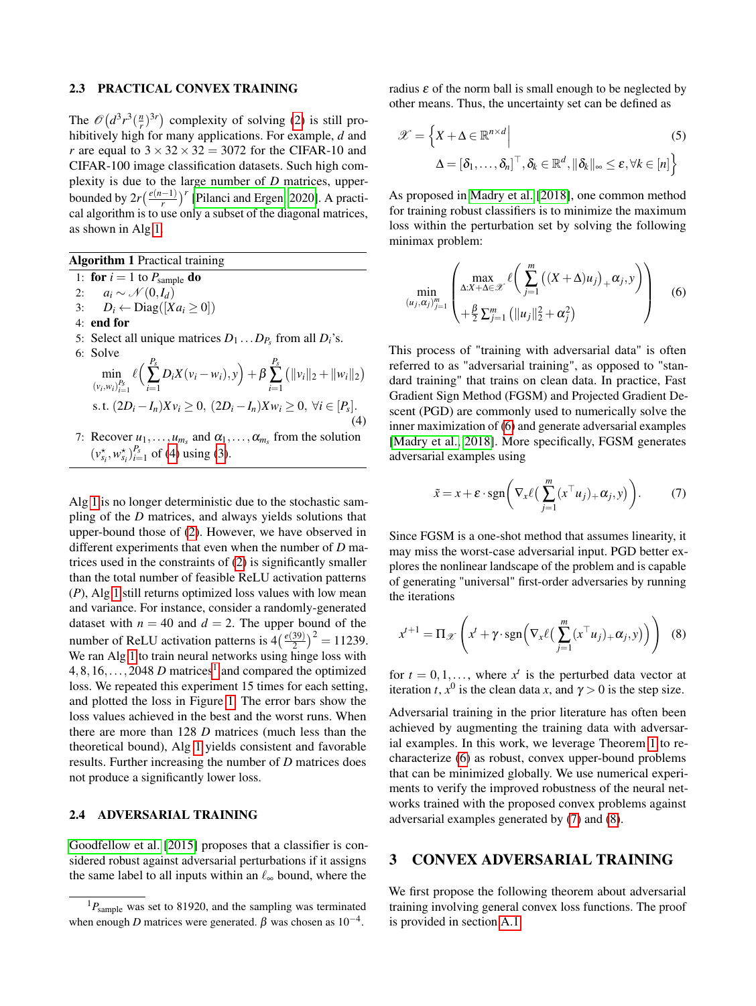#### 2.3 PRACTICAL CONVEX TRAINING

The  $\mathcal{O}\left(d^3r^3(\frac{n}{r})^{3r}\right)$  complexity of solving [\(2\)](#page-1-1) is still prohibitively high for many applications. For example, *d* and *r* are equal to  $3 \times 32 \times 32 = 3072$  for the CIFAR-10 and CIFAR-100 image classification datasets. Such high complexity is due to the large number of *D* matrices, upperbounded by  $2r\left(\frac{e(n-1)}{r}\right)^r$  [\[Pilanci and Ergen, 2020\]](#page-9-5). A practical algorithm is to use only a subset of the diagonal matrices, as shown in Alg [1.](#page-2-1)

<span id="page-2-1"></span>Algorithm 1 Practical training

1: **for**  $i = 1$  to  $P_{\text{sample}}$  **do** 

- 2:  $a_i \sim \mathcal{N}(0, I_d)$
- 3:  $D_i \leftarrow \text{Diag}([Xa_i \geq 0])$
- 4: end for
- 5: Select all unique matrices  $D_1 \dots D_{P_s}$  from all  $D_i$ 's.

6: Solve  
\n
$$
\min_{\{v_i, w_i\}_{i=1}^{P_s}} \ell\Big(\sum_{i=1}^{P_s} D_i X(v_i - w_i), y\Big) + \beta \sum_{i=1}^{P_s} (||v_i||_2 + ||w_i||_2)
$$
\ns.t.  $(2D_i - I_n)Xv_i \ge 0$ ,  $(2D_i - I_n)Xw_i \ge 0$ ,  $\forall i \in [P_s]$ . (4)

7: Recover  $u_1, \ldots, u_{m_s}$  and  $\alpha_1, \ldots, \alpha_{m_s}$  from the solution  $(v_{s_i}^{\star}, w_{s_i}^{\star})_{i=1}^{P_s}$  of [\(4\)](#page-2-2) using [\(3\)](#page-1-3).

Alg [1](#page-2-1) is no longer deterministic due to the stochastic sampling of the *D* matrices, and always yields solutions that upper-bound those of [\(2\)](#page-1-1). However, we have observed in different experiments that even when the number of *D* matrices used in the constraints of [\(2\)](#page-1-1) is significantly smaller than the total number of feasible ReLU activation patterns (*P*), Alg [1](#page-2-1) still returns optimized loss values with low mean and variance. For instance, consider a randomly-generated dataset with  $n = 40$  and  $d = 2$ . The upper bound of the number of ReLU activation patterns is  $4\left(\frac{e(39)}{2}\right)^2 = 11239$ . We ran Alg [1](#page-2-1) to train neural networks using hinge loss with  $4,8,16,\ldots,2048$  $4,8,16,\ldots,2048$  $4,8,16,\ldots,2048$  *D* matrices<sup>1</sup> and compared the optimized loss. We repeated this experiment 15 times for each setting, and plotted the loss in Figure [1.](#page-3-1) The error bars show the loss values achieved in the best and the worst runs. When there are more than 128 *D* matrices (much less than the theoretical bound), Alg [1](#page-2-1) yields consistent and favorable results. Further increasing the number of *D* matrices does not produce a significantly lower loss.

#### 2.4 ADVERSARIAL TRAINING

[Goodfellow et al.](#page-8-3) [\[2015\]](#page-8-3) proposes that a classifier is considered robust against adversarial perturbations if it assigns the same label to all inputs within an  $\ell_{\infty}$  bound, where the

radius  $\varepsilon$  of the norm ball is small enough to be neglected by other means. Thus, the uncertainty set can be defined as

$$
\mathcal{X} = \left\{ X + \Delta \in \mathbb{R}^{n \times d} \middle| \tag{5}
$$

$$
\Delta = \left[ \delta_1, \dots, \delta_n \right]^\top, \delta_k \in \mathbb{R}^d, \|\delta_k\|_{\infty} \le \varepsilon, \forall k \in [n] \right\}
$$

As proposed in [Madry et al.](#page-9-0) [\[2018\]](#page-9-0), one common method for training robust classifiers is to minimize the maximum loss within the perturbation set by solving the following minimax problem:

<span id="page-2-4"></span>
$$
\min_{(u_j, \alpha_j)_{j=1}^m} \left( \max_{\Delta: X + \Delta \in \mathcal{X}} \ell \left( \sum_{j=1}^m \left( (X + \Delta) u_j \right)_+ \alpha_j, y \right) \right) \tag{6}
$$

<span id="page-2-2"></span>This process of "training with adversarial data" is often referred to as "adversarial training", as opposed to "standard training" that trains on clean data. In practice, Fast Gradient Sign Method (FGSM) and Projected Gradient Descent (PGD) are commonly used to numerically solve the inner maximization of [\(6\)](#page-2-4) and generate adversarial examples [\[Madry et al., 2018\]](#page-9-0). More specifically, FGSM generates adversarial examples using

<span id="page-2-5"></span>
$$
\tilde{x} = x + \varepsilon \cdot \text{sgn}\bigg(\nabla_x \ell\big(\sum_{j=1}^m (x^\top u_j) + \alpha_j, y\big)\bigg). \tag{7}
$$

Since FGSM is a one-shot method that assumes linearity, it may miss the worst-case adversarial input. PGD better explores the nonlinear landscape of the problem and is capable of generating "universal" first-order adversaries by running the iterations

<span id="page-2-6"></span>
$$
x^{t+1} = \Pi_{\mathscr{X}}\left(x^t + \gamma \cdot \text{sgn}\left(\nabla_x \ell\left(\sum_{j=1}^m (x^{\top} u_j)_{+} \alpha_j, y\right)\right)\right) \tag{8}
$$

for  $t = 0, 1, \ldots$ , where  $x^t$  is the perturbed data vector at iteration *t*,  $x^0$  is the clean data *x*, and  $\gamma > 0$  is the step size.

Adversarial training in the prior literature has often been achieved by augmenting the training data with adversarial examples. In this work, we leverage Theorem [1](#page-1-4) to recharacterize [\(6\)](#page-2-4) as robust, convex upper-bound problems that can be minimized globally. We use numerical experiments to verify the improved robustness of the neural networks trained with the proposed convex problems against adversarial examples generated by [\(7\)](#page-2-5) and [\(8\)](#page-2-6).

## <span id="page-2-0"></span>3 CONVEX ADVERSARIAL TRAINING

We first propose the following theorem about adversarial training involving general convex loss functions. The proof is provided in section [A.1.](#page-10-0)

<span id="page-2-3"></span><sup>&</sup>lt;sup>1</sup> $P_{\text{sample}}$  was set to 81920, and the sampling was terminated when enough *D* matrices were generated.  $\beta$  was chosen as  $10^{-4}$ .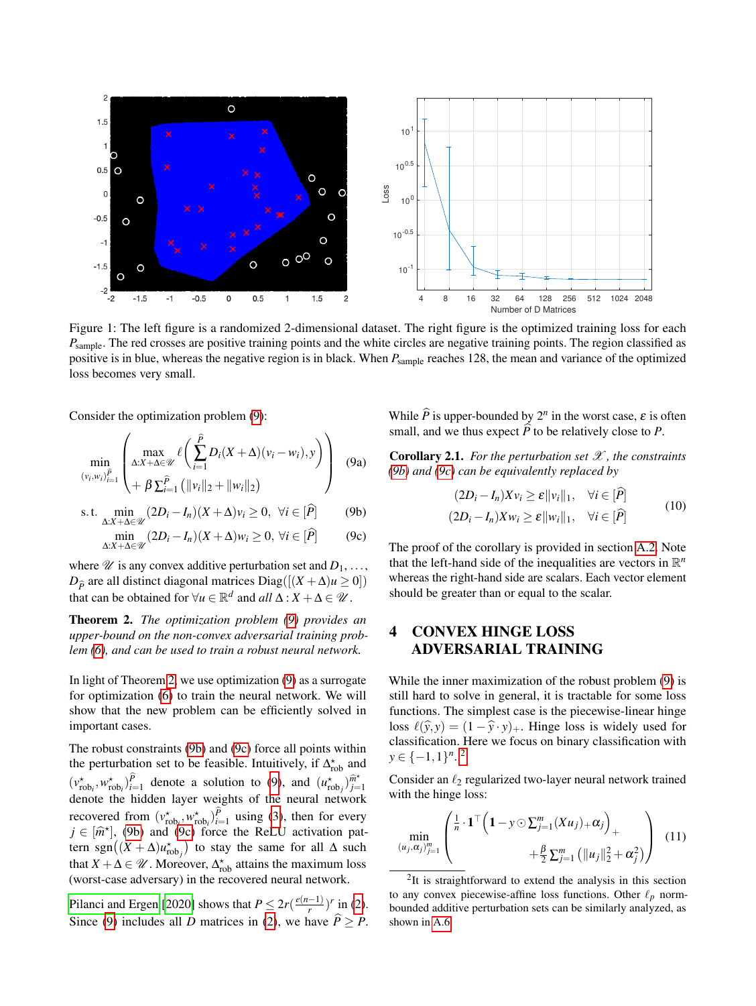<span id="page-3-1"></span>

Figure 1: The left figure is a randomized 2-dimensional dataset. The right figure is the optimized training loss for each *P*<sub>sample</sub>. The red crosses are positive training points and the white circles are negative training points. The region classified as positive is in blue, whereas the negative region is in black. When *P*sample reaches 128, the mean and variance of the optimized loss becomes very small.

Consider the optimization problem [\(9\)](#page-3-2):

$$
\min_{(v_i, w_i)_{i=1}^{\tilde{P}} \left( \max_{\Delta: X + \Delta \in \mathcal{U}} \ell \left( \sum_{i=1}^{\tilde{P}} D_i (X + \Delta)(v_i - w_i), y \right) \right) (9a)
$$

$$
\text{s.t. } \min_{\Delta: X + \Delta \in \mathcal{U}} (2D_i - I_n)(X + \Delta)v_i \ge 0, \ \forall i \in [\widehat{P}] \tag{9b}
$$

$$
\min_{\Delta:X+\Delta\in\mathcal{U}}(2D_i-I_n)(X+\Delta)w_i\geq 0, \,\forall i\in[\widehat{P}] \tag{9c}
$$

where  $\mathscr U$  is any convex additive perturbation set and  $D_1, \ldots$ , *D*<sup> $\hat{p}$ </sup> are all distinct diagonal matrices Diag([ $(X + \Delta)u \ge 0$ ]) that can be obtained for  $\forall u \in \mathbb{R}^d$  and  $all \Delta : X + \Delta \in \mathcal{U}$ .

<span id="page-3-3"></span>Theorem 2. *The optimization problem [\(9\)](#page-3-2) provides an upper-bound on the non-convex adversarial training problem [\(6\)](#page-2-4), and can be used to train a robust neural network.*

In light of Theorem [2,](#page-3-3) we use optimization [\(9\)](#page-3-2) as a surrogate for optimization [\(6\)](#page-2-4) to train the neural network. We will show that the new problem can be efficiently solved in important cases.

The robust constraints [\(9b\)](#page-3-2) and [\(9c\)](#page-3-2) force all points within the perturbation set to be feasible. Intuitively, if  $\Delta_{\text{rob}}^{\star}$  and  $(v_{\text{rob}_i}^*, w_{\text{rob}_i}^*)_{i=1}^{\hat{P}}$  denote a solution to [\(9\)](#page-3-2), and  $(u_{\text{rob}_j}^*, \hat{m}_j^*)_{j=1}^{\hat{m}^*}$ *j*=1 denote the hidden layer weights of the neural network recovered from  $(v_{\text{rob}_i}^*, w_{\text{rob}_i}^*)_{i=1}^P$  using [\(3\)](#page-1-3), then for every  $j \in [\hat{m}^{\dagger}]$ , [\(9b\)](#page-3-2) and [\(9c\)](#page-3-2) force the ReLU activation pat-<br>term  $sgn((\mathbf{Y} + \mathbf{A})\mathbf{u}^{\dagger})$  to stay the same for all  $\mathbf{A}$  such tern sgn $((X + \Delta)u_{\text{rob}_j}^{\star})$  to stay the same for all  $\Delta$  such that  $X + \Delta \in \mathcal{U}$ . Moreover,  $\Delta_{\text{rob}}^{\star}$  attains the maximum loss (worst-case adversary) in the recovered neural network.

[Pilanci and Ergen](#page-9-5) [\[2020\]](#page-9-5) shows that  $P \leq 2r(\frac{e(n-1)}{r})$  $\frac{(-1)}{r}$ )<sup>r</sup> in [\(2\)](#page-1-1). Since [\(9\)](#page-3-2) includes all *D* matrices in [\(2\)](#page-1-1), we have  $\hat{P} \ge P$ .

<span id="page-3-2"></span>While  $\hat{P}$  is upper-bounded by  $2^n$  in the worst case,  $\varepsilon$  is often small, and we thus expect  $\widehat{P}$  to be relatively close to *P*.

<span id="page-3-5"></span>Corollary 2.1. *For the perturbation set* X *, the constraints [\(9b\)](#page-3-2) and [\(9c\)](#page-3-2) can be equivalently replaced by*

<span id="page-3-7"></span>
$$
(2D_i - I_n)Xv_i \ge \varepsilon ||v_i||_1, \quad \forall i \in [\hat{P}]
$$
  

$$
(2D_i - I_n)Xw_i \ge \varepsilon ||w_i||_1, \quad \forall i \in [\hat{P}]
$$
 (10)

The proof of the corollary is provided in section [A.2.](#page-13-0) Note that the left-hand side of the inequalities are vectors in  $\mathbb{R}^n$ whereas the right-hand side are scalars. Each vector element should be greater than or equal to the scalar.

## <span id="page-3-0"></span>4 CONVEX HINGE LOSS ADVERSARIAL TRAINING

While the inner maximization of the robust problem [\(9\)](#page-3-2) is still hard to solve in general, it is tractable for some loss functions. The simplest case is the piecewise-linear hinge loss  $\ell(\hat{y}, y) = (1 - \hat{y} \cdot y)_+$ . Hinge loss is widely used for classification. Here we focus on binary classification with *y* ∈ {-1,1}<sup>*n*</sup>.<sup>[2](#page-3-4)</sup>

Consider an  $\ell_2$  regularized two-layer neural network trained with the hinge loss:

<span id="page-3-6"></span>
$$
\min_{(u_j, \alpha_j)_{j=1}^m} \left( \frac{\frac{1}{n} \cdot \mathbf{1}^\top \left( \mathbf{1} - \mathbf{y} \odot \mathbf{\Sigma}_{j=1}^m (X u_j)_+ \alpha_j \right)_+}{\frac{\beta}{2} \sum_{j=1}^m \left( ||u_j||_2^2 + \alpha_j^2 \right)} \right) (11)
$$

<span id="page-3-4"></span><sup>2</sup>It is straightforward to extend the analysis in this section to any convex piecewise-affine loss functions. Other  $\ell_p$  normbounded additive perturbation sets can be similarly analyzed, as shown in [A.6.](#page-16-0)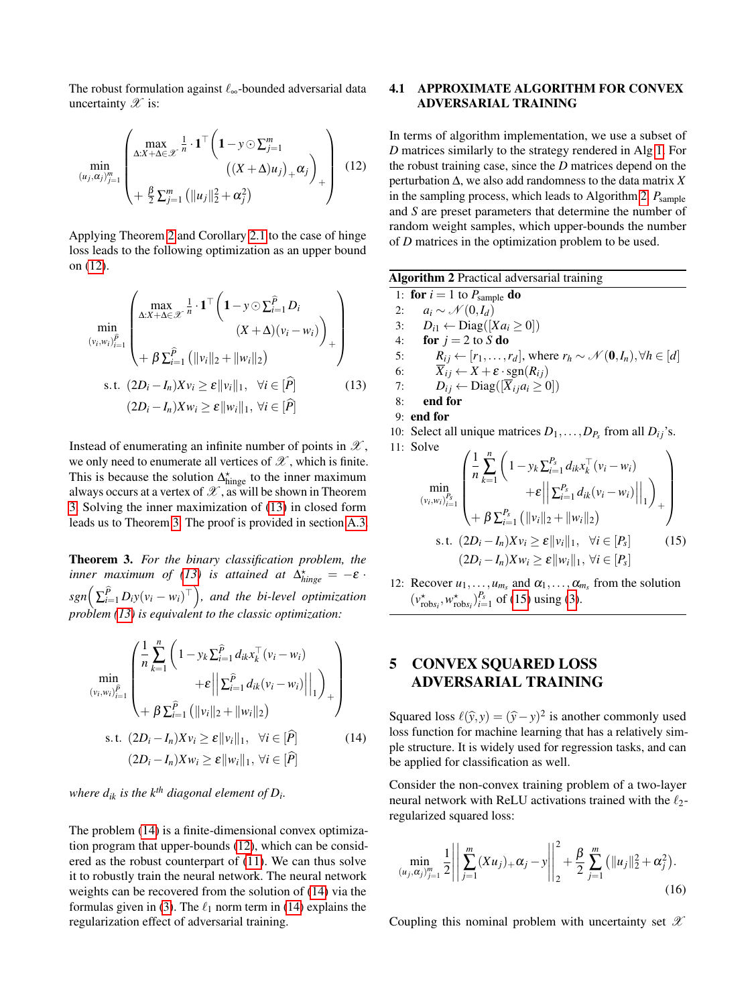The robust formulation against  $\ell_{\infty}$ -bounded adversarial data uncertainty  $\mathscr X$  is:

$$
\min_{(u_j, \alpha_j)_{j=1}^m} \left( \max_{\Delta: X + \Delta \in \mathcal{X}} \frac{1}{n} \cdot \mathbf{1}^\top \left( \mathbf{1} - y \odot \Sigma_{j=1}^m \right) \left( (X + \Delta) u_j \right)_+ \alpha_j \right) + \frac{\beta}{2} \Sigma_{j=1}^m \left( ||u_j||_2^2 + \alpha_j^2 \right) \tag{12}
$$

Applying Theorem [2](#page-3-3) and Corollary [2.1](#page-3-5) to the case of hinge loss leads to the following optimization as an upper bound on [\(12\)](#page-4-1).

$$
\min_{(v_i, w_i)_{i=1}^{\tilde{P}}} \left( \frac{\max\limits_{\Delta: X + \Delta \in \mathcal{X}} \frac{1}{n} \cdot \mathbf{1}^\top \left( \mathbf{1} - y \odot \sum_{i=1}^{\tilde{P}} D_i}{(X + \Delta)(v_i - w_i)} \right) + \beta \sum_{i=1}^{\tilde{P}} (\|v_i\|_2 + \|w_i\|_2)
$$
\n
$$
\text{s.t. } (2D_i - I_n)Xv_i \ge \varepsilon \|v_i\|_1, \ \forall i \in [\hat{P}] \tag{13}
$$
\n
$$
(2D_i - I_n)Xw_i \ge \varepsilon \|w_i\|_1, \ \forall i \in [\hat{P}]
$$

Instead of enumerating an infinite number of points in  $\mathscr{X}$ , we only need to enumerate all vertices of  $\mathscr X$ , which is finite. This is because the solution  $\Delta_{\text{hinge}}^{\star}$  to the inner maximum always occurs at a vertex of  $\mathscr X$ , as will be shown in Theorem [3.](#page-4-2) Solving the inner maximization of [\(13\)](#page-4-3) in closed form leads us to Theorem [3.](#page-4-2) The proof is provided in section [A.3.](#page-13-1)

<span id="page-4-2"></span>Theorem 3. *For the binary classification problem, the inner maximum of [\(13\)](#page-4-3) is attained at*  $\Delta^*_{hinge} = -\varepsilon$ .  $sgn\left(\sum_{i=1}^{\widehat{P}}D_iy(v_i-w_i)^\top\right)$ , and the bi-level optimization *problem [\(13\)](#page-4-3) is equivalent to the classic optimization:*

$$
\min_{(v_i, w_i)_{i=1}^{\tilde{P}}} \left( \frac{1}{n} \sum_{k=1}^n \left( 1 - y_k \sum_{i=1}^{\tilde{P}} d_{ik} x_k^\top (v_i - w_i) \right) + \varepsilon \left\| \sum_{i=1}^{\tilde{P}} d_{ik} (v_i - w_i) \right\|_1 \right)_+ + \beta \sum_{i=1}^{\tilde{P}} \left( \|v_i\|_2 + \|w_i\|_2 \right)
$$
\ns.t.  $(2D_i - I_n) X v_i \ge \varepsilon \|v_i\|_1, \ \forall i \in [\hat{P}]$  (14)  
\n $(2D_i - I_n) X w_i \ge \varepsilon \|w_i\|_1, \ \forall i \in [\hat{P}]$ 

*where dik is the kth diagonal element of D<sup>i</sup> .*

The problem [\(14\)](#page-4-4) is a finite-dimensional convex optimization program that upper-bounds [\(12\)](#page-4-1), which can be considered as the robust counterpart of [\(11\)](#page-3-6). We can thus solve it to robustly train the neural network. The neural network weights can be recovered from the solution of [\(14\)](#page-4-4) via the formulas given in [\(3\)](#page-1-3). The  $\ell_1$  norm term in [\(14\)](#page-4-4) explains the regularization effect of adversarial training.

## 4.1 APPROXIMATE ALGORITHM FOR CONVEX ADVERSARIAL TRAINING

<span id="page-4-1"></span>In terms of algorithm implementation, we use a subset of *D* matrices similarly to the strategy rendered in Alg [1.](#page-2-1) For the robust training case, since the *D* matrices depend on the perturbation ∆, we also add randomness to the data matrix *X* in the sampling process, which leads to Algorithm [2.](#page-4-5)  $P_{\text{sample}}$ and *S* are preset parameters that determine the number of random weight samples, which upper-bounds the number of *D* matrices in the optimization problem to be used.

<span id="page-4-5"></span><span id="page-4-3"></span>

| <b>Algorithm 2</b> Practical adversarial training |                                                                                                           |  |  |  |  |  |
|---------------------------------------------------|-----------------------------------------------------------------------------------------------------------|--|--|--|--|--|
|                                                   | 1: for $i = 1$ to $P_{\text{sample}}$ do                                                                  |  |  |  |  |  |
|                                                   | 2: $a_i \sim \mathcal{N}(0, I_d)$                                                                         |  |  |  |  |  |
|                                                   | 3: $D_{i1} \leftarrow \text{Diag}([Xa_i \geq 0])$                                                         |  |  |  |  |  |
|                                                   | 4: for $j = 2$ to S do                                                                                    |  |  |  |  |  |
| 5:                                                | $R_{ij} \leftarrow [r_1, \ldots, r_d]$ , where $r_h \sim \mathcal{N}(\mathbf{0}, I_n), \forall h \in [d]$ |  |  |  |  |  |
| 6:                                                | $\overline{X}_{ij} \leftarrow X + \varepsilon \cdot \text{sgn}(R_{ij})$                                   |  |  |  |  |  |
|                                                   | $D_{ij} \leftarrow \text{Diag}([\overline{X}_{ij}a_i \geq 0])$<br>7:                                      |  |  |  |  |  |
| 8:                                                | end for                                                                                                   |  |  |  |  |  |
|                                                   | $9:$ end for                                                                                              |  |  |  |  |  |
|                                                   | 10: Select all unique matrices $D_1, \ldots, D_{P_s}$ from all $D_{ij}$ 's.                               |  |  |  |  |  |
|                                                   | 11: Solve<br>$\sqrt{2}$ $\sqrt{2}$                                                                        |  |  |  |  |  |

<span id="page-4-6"></span>
$$
\min_{(v_i, w_i)_{i=1}^{P_s}} \left( \frac{1}{n} \sum_{k=1}^n \left( 1 - y_k \sum_{i=1}^{P_s} d_{ik} x_k^\top (v_i - w_i) + \varepsilon \middle\| \sum_{i=1}^{P_s} d_{ik} (v_i - w_i) \middle\|_1 \right) + \beta \sum_{i=1}^{P_s} \left( \|v_i\|_2 + \|w_i\|_2 \right) + \varepsilon \left( \frac{2D_i - I_n}{Xv_i} \ge \varepsilon \middle\| v_i \middle\|_1, \ \forall i \in [P_s] \right) \tag{15}
$$
\n
$$
(2D_i - I_n)Xw_i \ge \varepsilon \middle\| w_i \middle\|_1, \ \forall i \in [P_s] \right)
$$

12: Recover  $u_1, \ldots, u_{m_s}$  and  $\alpha_1, \ldots, \alpha_{m_s}$  from the solution  $(v_{\text{robs}_i}^{\star}, w_{\text{robs}_i}^{\star})_{i=1}^{P_s}$  of [\(15\)](#page-4-6) using [\(3\)](#page-1-3).

## <span id="page-4-0"></span>5 CONVEX SQUARED LOSS ADVERSARIAL TRAINING

<span id="page-4-4"></span>Squared loss  $\ell(\hat{y}, y) = (\hat{y} - y)^2$  is another commonly used<br>loss function for machine learning that has a relatively sim loss function for machine learning that has a relatively simple structure. It is widely used for regression tasks, and can be applied for classification as well.

Consider the non-convex training problem of a two-layer neural network with ReLU activations trained with the  $\ell_2$ regularized squared loss:

<span id="page-4-7"></span>
$$
\min_{(u_j, \alpha_j)_{j=1}^m} \frac{1}{2} \left| \left| \sum_{j=1}^m (X u_j)_+ \alpha_j - y \right| \right|_2^2 + \frac{\beta}{2} \sum_{j=1}^m \left( \| u_j \|_2^2 + \alpha_j^2 \right).
$$
\n(16)

Coupling this nominal problem with uncertainty set  $\mathscr X$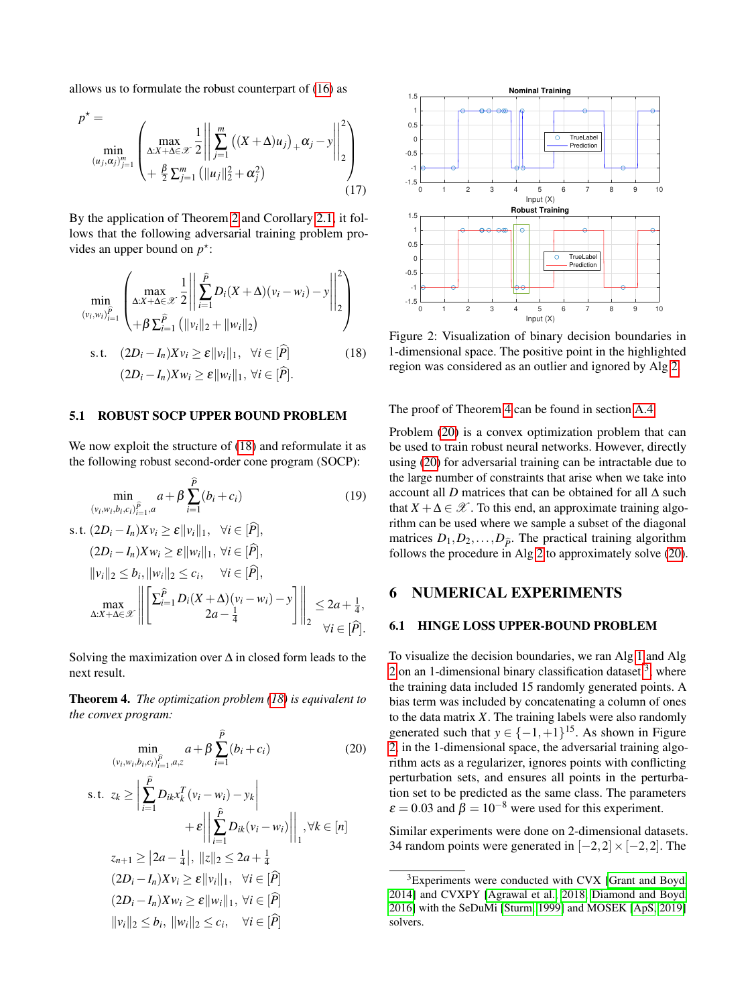allows us to formulate the robust counterpart of [\(16\)](#page-4-7) as

$$
p^* = \min_{(u_j, \alpha_j)_{j=1}^m} \left( \max_{\Delta:X + \Delta \in \mathcal{X}} \frac{1}{2} \left\| \sum_{j=1}^m \left( (X + \Delta) u_j \right)_+ \alpha_j - y \right\|_2^2 \right) + \frac{\beta}{2} \sum_{j=1}^m \left( \|u_j\|_2^2 + \alpha_j^2 \right) \tag{17}
$$

By the application of Theorem [2](#page-3-3) and Corollary [2.1,](#page-3-5) it follows that the following adversarial training problem provides an upper bound on  $p^*$ :

$$
\min_{(v_i, w_i)_{i=1}^{\tilde{P}}} \left( \max_{\Delta: X + \Delta \in \mathcal{X}} \frac{1}{2} \left| \left| \sum_{i=1}^{\tilde{P}} D_i(X + \Delta)(v_i - w_i) - y \right| \right|_2^2 \right) + \beta \sum_{i=1}^{\tilde{P}} (\|v_i\|_2 + \|w_i\|_2)
$$
\ns.t.  $(2D_i - I_n)Xv_i \ge \varepsilon \|v_i\|_1, \forall i \in [\hat{P}]$  (18)  
\n $(2D_i - I_n)Xw_i \ge \varepsilon \|w_i\|_1, \forall i \in [\hat{P}].$ 

#### 5.1 ROBUST SOCP UPPER BOUND PROBLEM

We now exploit the structure of [\(18\)](#page-5-1) and reformulate it as the following robust second-order cone program (SOCP):

$$
\min_{(v_i, w_i, b_i, c_i)} a + \beta \sum_{i=1}^{\widehat{P}} (b_i + c_i)
$$
(19)  
s.t.  $(2D_i - I_n)Xv_i \ge \varepsilon ||v_i||_1$ ,  $\forall i \in [\widehat{P}],$   
 $(2D_i - I_n)Xw_i \ge \varepsilon ||w_i||_1$ ,  $\forall i \in [\widehat{P}],$   
 $||v_i||_2 \le b_i$ ,  $||w_i||_2 \le c_i$ ,  $\forall i \in [\widehat{P}],$   

$$
\max_{\Delta:X + \Delta \in \mathcal{X}} \left\| \begin{bmatrix} \sum_{i=1}^{\widehat{P}} D_i(X + \Delta)(v_i - w_i) - y \\ 2a - \frac{1}{4} \end{bmatrix} \right\|_2 \le 2a + \frac{1}{4},
$$
  
 $\forall i \in [\widehat{P}].$ 

Solving the maximization over  $\Delta$  in closed form leads to the next result.

<span id="page-5-2"></span>Theorem 4. *The optimization problem [\(18\)](#page-5-1) is equivalent to the convex program:*

$$
\min_{(v_i, w_i, b_i, c_i)_{i=1}^{\widehat{P}}, a, z} a + \beta \sum_{i=1}^P (b_i + c_i)
$$
(20)  
s.t.  $z_k \ge \left| \sum_{i=1}^{\widehat{P}} D_{ik} x_k^T (v_i - w_i) - y_k \right|$   
 $+ \varepsilon \left| \left| \sum_{i=1}^{\widehat{P}} D_{ik} (v_i - w_i) \right| \right|_1, \forall k \in [n]$   
 $z_{n+1} \ge |2a - \frac{1}{4}|, \|z\|_2 \le 2a + \frac{1}{4}$   
(2D<sub>i</sub> - I<sub>n</sub>)Xv<sub>i</sub>  $\ge \varepsilon ||v_i||_1, \forall i \in [\widehat{P}]$   
(2D<sub>i</sub> - I<sub>n</sub>)Xw<sub>i</sub>  $\ge \varepsilon ||w_i||_1, \forall i \in [\widehat{P}]$   
 $||v_i||_2 \le b_i, ||w_i||_2 \le c_i, \forall i \in [\widehat{P}]$ 

<span id="page-5-5"></span>

<span id="page-5-1"></span>Figure 2: Visualization of binary decision boundaries in 1-dimensional space. The positive point in the highlighted region was considered as an outlier and ignored by Alg [2.](#page-4-5)

The proof of Theorem [4](#page-5-2) can be found in section [A.4.](#page-14-0)

<span id="page-5-6"></span>Problem [\(20\)](#page-5-3) is a convex optimization problem that can be used to train robust neural networks. However, directly using [\(20\)](#page-5-3) for adversarial training can be intractable due to the large number of constraints that arise when we take into account all *D* matrices that can be obtained for all ∆ such that  $X + \Delta \in \mathcal{X}$ . To this end, an approximate training algorithm can be used where we sample a subset of the diagonal matrices  $D_1, D_2, \ldots, D_{\hat{P}}$ . The practical training algorithm follows the procedure in Alg [2](#page-4-5) to approximately solve [\(20\)](#page-5-3).

### <span id="page-5-0"></span>6 NUMERICAL EXPERIMENTS

#### 6.1 HINGE LOSS UPPER-BOUND PROBLEM

<span id="page-5-3"></span>To visualize the decision boundaries, we ran Alg [1](#page-2-1) and Alg [2](#page-4-5) on an 1-dimensional binary classification dataset  $3$ , where the training data included 15 randomly generated points. A bias term was included by concatenating a column of ones to the data matrix *X*. The training labels were also randomly generated such that  $y \in \{-1, +1\}^{15}$ . As shown in Figure [2,](#page-5-5) in the 1-dimensional space, the adversarial training algorithm acts as a regularizer, ignores points with conflicting perturbation sets, and ensures all points in the perturbation set to be predicted as the same class. The parameters  $\varepsilon = 0.03$  and  $\beta = 10^{-8}$  were used for this experiment.

Similar experiments were done on 2-dimensional datasets. 34 random points were generated in  $[-2,2] \times [-2,2]$ . The

<span id="page-5-4"></span><sup>&</sup>lt;sup>3</sup>Experiments were conducted with CVX [\[Grant and Boyd,](#page-8-13) [2014\]](#page-8-13) and CVXPY [\[Agrawal et al., 2018,](#page-8-14) [Diamond and Boyd,](#page-8-15) [2016\]](#page-8-15) with the SeDuMi [\[Sturm, 1999\]](#page-9-6) and MOSEK [\[ApS, 2019\]](#page-8-16) solvers.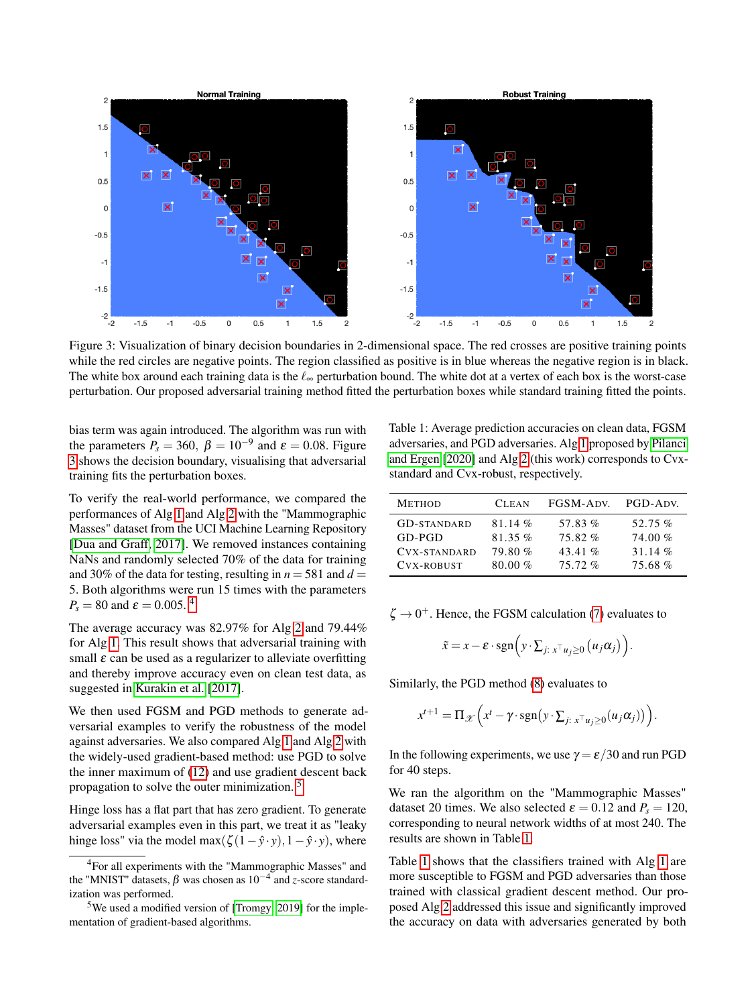<span id="page-6-1"></span>

Figure 3: Visualization of binary decision boundaries in 2-dimensional space. The red crosses are positive training points while the red circles are negative points. The region classified as positive is in blue whereas the negative region is in black. The white box around each training data is the  $\ell_{\infty}$  perturbation bound. The white dot at a vertex of each box is the worst-case perturbation. Our proposed adversarial training method fitted the perturbation boxes while standard training fitted the points.

bias term was again introduced. The algorithm was run with the parameters  $P_s = 360$ ,  $\beta = 10^{-9}$  and  $\varepsilon = 0.08$ . Figure [3](#page-6-1) shows the decision boundary, visualising that adversarial training fits the perturbation boxes.

To verify the real-world performance, we compared the performances of Alg [1](#page-2-1) and Alg [2](#page-4-5) with the "Mammographic Masses" dataset from the UCI Machine Learning Repository [\[Dua and Graff, 2017\]](#page-8-17). We removed instances containing NaNs and randomly selected 70% of the data for training and 30% of the data for testing, resulting in  $n = 581$  and  $d =$ 5. Both algorithms were run 15 times with the parameters  $P_s = 80$  and  $\varepsilon = 0.005$ .<sup>[4](#page-6-2)</sup>

The average accuracy was 82.97% for Alg [2](#page-4-5) and 79.44% for Alg [1.](#page-2-1) This result shows that adversarial training with small  $\varepsilon$  can be used as a regularizer to alleviate overfitting and thereby improve accuracy even on clean test data, as suggested in [Kurakin et al.](#page-8-4) [\[2017\]](#page-8-4).

We then used FGSM and PGD methods to generate adversarial examples to verify the robustness of the model against adversaries. We also compared Alg [1](#page-2-1) and Alg [2](#page-4-5) with the widely-used gradient-based method: use PGD to solve the inner maximum of [\(12\)](#page-4-1) and use gradient descent back propagation to solve the outer minimization. [5](#page-6-3)

Hinge loss has a flat part that has zero gradient. To generate adversarial examples even in this part, we treat it as "leaky hinge loss" via the model max $(\zeta(1-\hat{y}\cdot y), 1-\hat{y}\cdot y)$ , where

<span id="page-6-0"></span>Table 1: Average prediction accuracies on clean data, FGSM adversaries, and PGD adversaries. Alg [1](#page-2-1) proposed by [Pilanci](#page-9-5) [and Ergen](#page-9-5) [\[2020\]](#page-9-5) and Alg [2](#page-4-5) (this work) corresponds to Cvxstandard and Cvx-robust, respectively.

| <b>METHOD</b>       | <b>CLEAN</b> | FGSM-ADV. | PGD-ADV.  |
|---------------------|--------------|-----------|-----------|
| <b>GD-STANDARD</b>  | 81.14 $%$    | 57.83%    | 52.75 $%$ |
| $GD-PGD$            | 81.35 $%$    | 75.82%    | 74.00%    |
| <b>CVX-STANDARD</b> | 79.80%       | 43.41 $%$ | 31.14 $%$ |
| CVX-ROBUST          | 80.00%       | 75.72%    | 75.68%    |

 $\zeta \rightarrow 0^+$ . Hence, the FGSM calculation [\(7\)](#page-2-5) evaluates to

$$
\tilde{x} = x - \varepsilon \cdot \mathrm{sgn}\left(y \cdot \sum_{j: \ x^{\top} u_j \ge 0} \left(u_j \alpha_j\right)\right).
$$

Similarly, the PGD method [\(8\)](#page-2-6) evaluates to

$$
x^{t+1} = \Pi_{\mathscr{X}}\left(x^t - \gamma \cdot \text{sgn}\big(y \cdot \sum_{j: \; x^{\top} u_j \geq 0}(u_j \alpha_j)\big)\right).
$$

In the following experiments, we use  $\gamma = \varepsilon/30$  and run PGD for 40 steps.

We ran the algorithm on the "Mammographic Masses" dataset 20 times. We also selected  $\varepsilon = 0.12$  and  $P_s = 120$ , corresponding to neural network widths of at most 240. The results are shown in Table [1.](#page-6-0)

Table [1](#page-6-0) shows that the classifiers trained with Alg [1](#page-2-1) are more susceptible to FGSM and PGD adversaries than those trained with classical gradient descent method. Our proposed Alg [2](#page-4-5) addressed this issue and significantly improved the accuracy on data with adversaries generated by both

<span id="page-6-2"></span><sup>4</sup>For all experiments with the "Mammographic Masses" and the "MNIST" datasets, β was chosen as 10−<sup>4</sup> and *z*-score standardization was performed.

<span id="page-6-3"></span><sup>&</sup>lt;sup>5</sup>We used a modified version of [\[Tromgy, 2019\]](#page-9-7) for the implementation of gradient-based algorithms.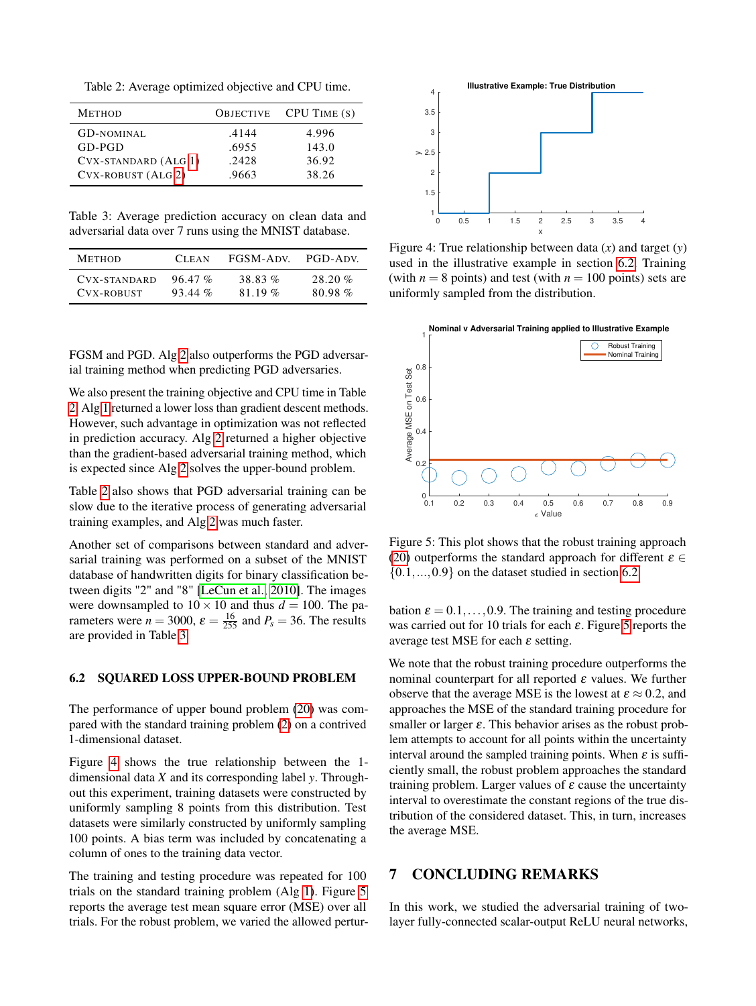<span id="page-7-0"></span>Table 2: Average optimized objective and CPU time.

| <b>METHOD</b>        | <b>OBJECTIVE</b> | $CPU$ TIME $(s)$ |
|----------------------|------------------|------------------|
| <b>GD-NOMINAL</b>    | .4144            | 4.996            |
| $GD-PGD$             | .6955            | 143.0            |
| CVX-STANDARD (ALG 1) | .2428            | 36.92            |
| CVX-ROBUST (ALG 2)   | .9663            | 38.26            |

<span id="page-7-1"></span>Table 3: Average prediction accuracy on clean data and adversarial data over 7 runs using the MNIST database.

| <b>METHOD</b> | <b>CLEAN</b> | FGSM-ADV. | PGD-ADV    |
|---------------|--------------|-----------|------------|
| CVX-STANDARD  | 96.47 %      | 38.83%    | $28.20 \%$ |
| CVX-ROBUST    | $93.44\%$    | 81.19 %   | 80.98%     |

FGSM and PGD. Alg [2](#page-4-5) also outperforms the PGD adversarial training method when predicting PGD adversaries.

We also present the training objective and CPU time in Table [2.](#page-7-0) Alg [1](#page-2-1) returned a lower loss than gradient descent methods. However, such advantage in optimization was not reflected in prediction accuracy. Alg [2](#page-4-5) returned a higher objective than the gradient-based adversarial training method, which is expected since Alg [2](#page-4-5) solves the upper-bound problem.

Table [2](#page-7-0) also shows that PGD adversarial training can be slow due to the iterative process of generating adversarial training examples, and Alg [2](#page-4-5) was much faster.

Another set of comparisons between standard and adversarial training was performed on a subset of the MNIST database of handwritten digits for binary classification between digits "2" and "8" [\[LeCun et al., 2010\]](#page-8-18). The images were downsampled to  $10 \times 10$  and thus  $d = 100$ . The parameters were  $n = 3000$ ,  $\varepsilon = \frac{16}{255}$  and  $P_s = 36$ . The results are provided in Table [3.](#page-7-1)

#### <span id="page-7-4"></span>6.2 SQUARED LOSS UPPER-BOUND PROBLEM

The performance of upper bound problem [\(20\)](#page-5-3) was compared with the standard training problem [\(2\)](#page-1-1) on a contrived 1-dimensional dataset.

Figure [4](#page-7-2) shows the true relationship between the 1 dimensional data *X* and its corresponding label *y*. Throughout this experiment, training datasets were constructed by uniformly sampling 8 points from this distribution. Test datasets were similarly constructed by uniformly sampling 100 points. A bias term was included by concatenating a column of ones to the training data vector.

The training and testing procedure was repeated for 100 trials on the standard training problem (Alg [1\)](#page-2-1). Figure [5](#page-7-3) reports the average test mean square error (MSE) over all trials. For the robust problem, we varied the allowed pertur-

<span id="page-7-2"></span>

Figure 4: True relationship between data (*x*) and target (*y*) used in the illustrative example in section [6.2.](#page-7-4) Training (with  $n = 8$  points) and test (with  $n = 100$  points) sets are uniformly sampled from the distribution.

<span id="page-7-3"></span>

Figure 5: This plot shows that the robust training approach [\(20\)](#page-5-3) outperforms the standard approach for different  $\varepsilon \in$  $\{0.1,...,0.9\}$  on the dataset studied in section [6.2.](#page-7-4)

bation  $\varepsilon = 0.1, \ldots, 0.9$ . The training and testing procedure was carried out for 10 trials for each  $\varepsilon$ . Figure [5](#page-7-3) reports the average test MSE for each  $\varepsilon$  setting.

We note that the robust training procedure outperforms the nominal counterpart for all reported  $\varepsilon$  values. We further observe that the average MSE is the lowest at  $\varepsilon \approx 0.2$ , and approaches the MSE of the standard training procedure for smaller or larger  $\varepsilon$ . This behavior arises as the robust problem attempts to account for all points within the uncertainty interval around the sampled training points. When  $\varepsilon$  is sufficiently small, the robust problem approaches the standard training problem. Larger values of  $\varepsilon$  cause the uncertainty interval to overestimate the constant regions of the true distribution of the considered dataset. This, in turn, increases the average MSE.

### 7 CONCLUDING REMARKS

In this work, we studied the adversarial training of twolayer fully-connected scalar-output ReLU neural networks,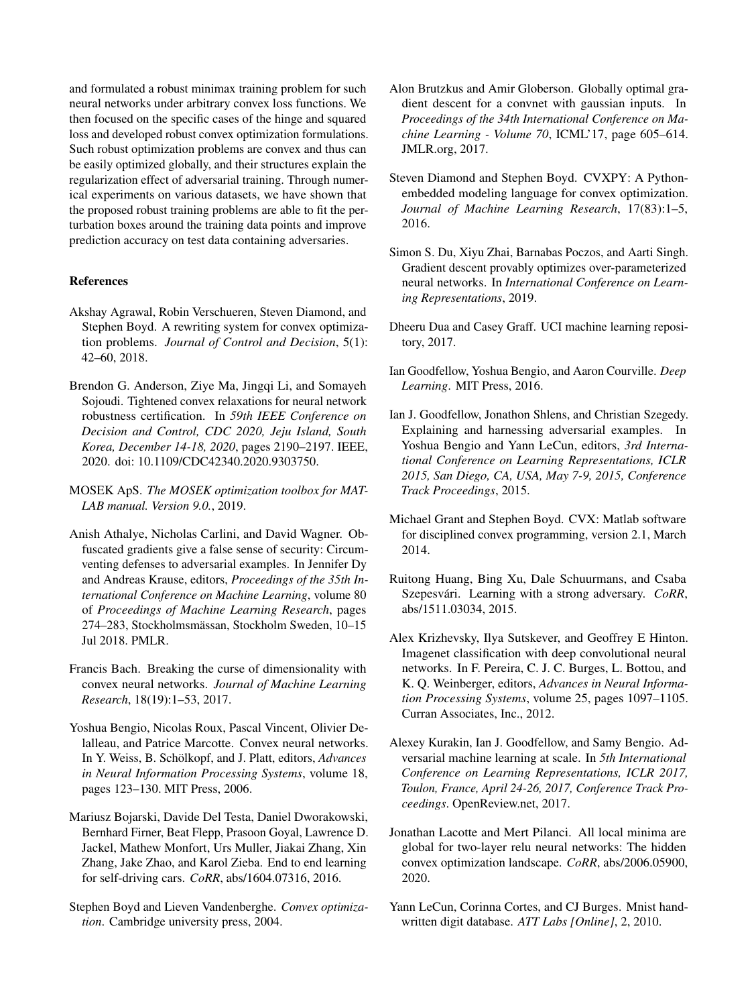and formulated a robust minimax training problem for such neural networks under arbitrary convex loss functions. We then focused on the specific cases of the hinge and squared loss and developed robust convex optimization formulations. Such robust optimization problems are convex and thus can be easily optimized globally, and their structures explain the regularization effect of adversarial training. Through numerical experiments on various datasets, we have shown that the proposed robust training problems are able to fit the perturbation boxes around the training data points and improve prediction accuracy on test data containing adversaries.

#### References

- <span id="page-8-14"></span>Akshay Agrawal, Robin Verschueren, Steven Diamond, and Stephen Boyd. A rewriting system for convex optimization problems. *Journal of Control and Decision*, 5(1): 42–60, 2018.
- <span id="page-8-5"></span>Brendon G. Anderson, Ziye Ma, Jingqi Li, and Somayeh Sojoudi. Tightened convex relaxations for neural network robustness certification. In *59th IEEE Conference on Decision and Control, CDC 2020, Jeju Island, South Korea, December 14-18, 2020*, pages 2190–2197. IEEE, 2020. doi: 10.1109/CDC42340.2020.9303750.
- <span id="page-8-16"></span>MOSEK ApS. *The MOSEK optimization toolbox for MAT-LAB manual. Version 9.0.*, 2019.
- <span id="page-8-7"></span>Anish Athalye, Nicholas Carlini, and David Wagner. Obfuscated gradients give a false sense of security: Circumventing defenses to adversarial examples. In Jennifer Dy and Andreas Krause, editors, *Proceedings of the 35th International Conference on Machine Learning*, volume 80 of *Proceedings of Machine Learning Research*, pages 274–283, Stockholmsmässan, Stockholm Sweden, 10–15 Jul 2018. PMLR.
- <span id="page-8-12"></span>Francis Bach. Breaking the curse of dimensionality with convex neural networks. *Journal of Machine Learning Research*, 18(19):1–53, 2017.
- <span id="page-8-11"></span>Yoshua Bengio, Nicolas Roux, Pascal Vincent, Olivier Delalleau, and Patrice Marcotte. Convex neural networks. In Y. Weiss, B. Schölkopf, and J. Platt, editors, *Advances in Neural Information Processing Systems*, volume 18, pages 123–130. MIT Press, 2006.
- <span id="page-8-2"></span>Mariusz Bojarski, Davide Del Testa, Daniel Dworakowski, Bernhard Firner, Beat Flepp, Prasoon Goyal, Lawrence D. Jackel, Mathew Monfort, Urs Muller, Jiakai Zhang, Xin Zhang, Jake Zhao, and Karol Zieba. End to end learning for self-driving cars. *CoRR*, abs/1604.07316, 2016.
- <span id="page-8-19"></span>Stephen Boyd and Lieven Vandenberghe. *Convex optimization*. Cambridge university press, 2004.
- <span id="page-8-10"></span>Alon Brutzkus and Amir Globerson. Globally optimal gradient descent for a convnet with gaussian inputs. In *Proceedings of the 34th International Conference on Machine Learning - Volume 70*, ICML'17, page 605–614. JMLR.org, 2017.
- <span id="page-8-15"></span>Steven Diamond and Stephen Boyd. CVXPY: A Pythonembedded modeling language for convex optimization. *Journal of Machine Learning Research*, 17(83):1–5, 2016.
- <span id="page-8-9"></span>Simon S. Du, Xiyu Zhai, Barnabas Poczos, and Aarti Singh. Gradient descent provably optimizes over-parameterized neural networks. In *International Conference on Learning Representations*, 2019.
- <span id="page-8-17"></span>Dheeru Dua and Casey Graff. UCI machine learning repository, 2017.
- <span id="page-8-0"></span>Ian Goodfellow, Yoshua Bengio, and Aaron Courville. *Deep Learning*. MIT Press, 2016.
- <span id="page-8-3"></span>Ian J. Goodfellow, Jonathon Shlens, and Christian Szegedy. Explaining and harnessing adversarial examples. In Yoshua Bengio and Yann LeCun, editors, *3rd International Conference on Learning Representations, ICLR 2015, San Diego, CA, USA, May 7-9, 2015, Conference Track Proceedings*, 2015.
- <span id="page-8-13"></span>Michael Grant and Stephen Boyd. CVX: Matlab software for disciplined convex programming, version 2.1, March 2014.
- <span id="page-8-6"></span>Ruitong Huang, Bing Xu, Dale Schuurmans, and Csaba Szepesvári. Learning with a strong adversary. *CoRR*, abs/1511.03034, 2015.
- <span id="page-8-1"></span>Alex Krizhevsky, Ilya Sutskever, and Geoffrey E Hinton. Imagenet classification with deep convolutional neural networks. In F. Pereira, C. J. C. Burges, L. Bottou, and K. Q. Weinberger, editors, *Advances in Neural Information Processing Systems*, volume 25, pages 1097–1105. Curran Associates, Inc., 2012.
- <span id="page-8-4"></span>Alexey Kurakin, Ian J. Goodfellow, and Samy Bengio. Adversarial machine learning at scale. In *5th International Conference on Learning Representations, ICLR 2017, Toulon, France, April 24-26, 2017, Conference Track Proceedings*. OpenReview.net, 2017.
- <span id="page-8-8"></span>Jonathan Lacotte and Mert Pilanci. All local minima are global for two-layer relu neural networks: The hidden convex optimization landscape. *CoRR*, abs/2006.05900, 2020.
- <span id="page-8-18"></span>Yann LeCun, Corinna Cortes, and CJ Burges. Mnist handwritten digit database. *ATT Labs [Online]*, 2, 2010.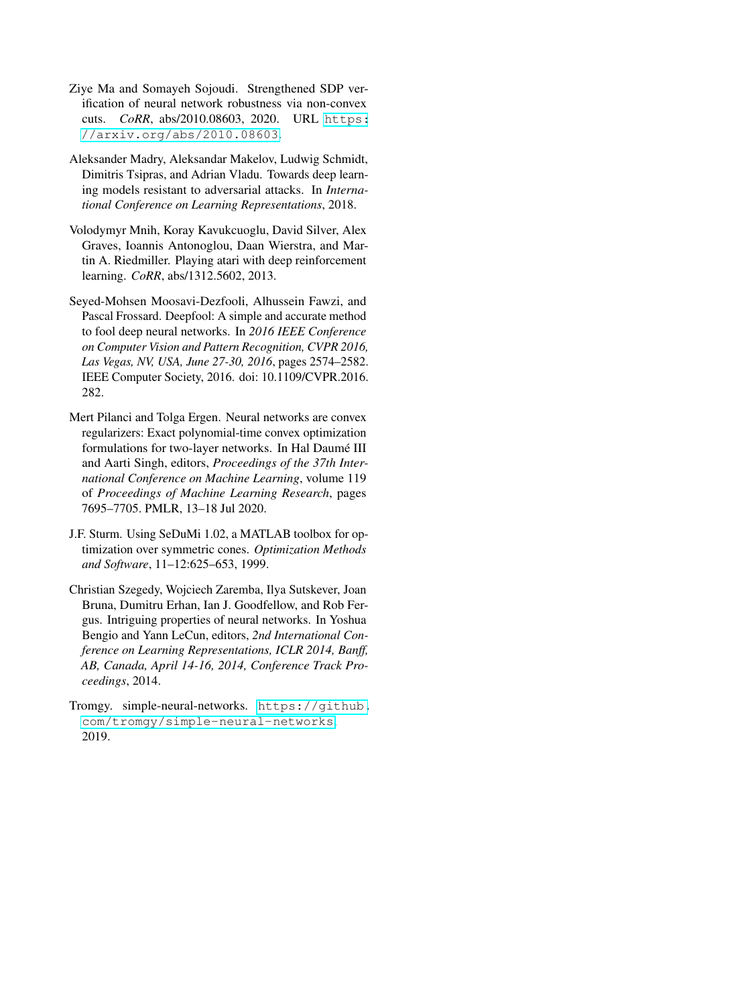- <span id="page-9-4"></span>Ziye Ma and Somayeh Sojoudi. Strengthened SDP verification of neural network robustness via non-convex cuts. *CoRR*, abs/2010.08603, 2020. URL [https:](https://arxiv.org/abs/2010.08603) [//arxiv.org/abs/2010.08603](https://arxiv.org/abs/2010.08603).
- <span id="page-9-0"></span>Aleksander Madry, Aleksandar Makelov, Ludwig Schmidt, Dimitris Tsipras, and Adrian Vladu. Towards deep learning models resistant to adversarial attacks. In *International Conference on Learning Representations*, 2018.
- <span id="page-9-1"></span>Volodymyr Mnih, Koray Kavukcuoglu, David Silver, Alex Graves, Ioannis Antonoglou, Daan Wierstra, and Martin A. Riedmiller. Playing atari with deep reinforcement learning. *CoRR*, abs/1312.5602, 2013.
- <span id="page-9-3"></span>Seyed-Mohsen Moosavi-Dezfooli, Alhussein Fawzi, and Pascal Frossard. Deepfool: A simple and accurate method to fool deep neural networks. In *2016 IEEE Conference on Computer Vision and Pattern Recognition, CVPR 2016, Las Vegas, NV, USA, June 27-30, 2016*, pages 2574–2582. IEEE Computer Society, 2016. doi: 10.1109/CVPR.2016. 282.
- <span id="page-9-5"></span>Mert Pilanci and Tolga Ergen. Neural networks are convex regularizers: Exact polynomial-time convex optimization formulations for two-layer networks. In Hal Daumé III and Aarti Singh, editors, *Proceedings of the 37th International Conference on Machine Learning*, volume 119 of *Proceedings of Machine Learning Research*, pages 7695–7705. PMLR, 13–18 Jul 2020.
- <span id="page-9-6"></span>J.F. Sturm. Using SeDuMi 1.02, a MATLAB toolbox for optimization over symmetric cones. *Optimization Methods and Software*, 11–12:625–653, 1999.
- <span id="page-9-2"></span>Christian Szegedy, Wojciech Zaremba, Ilya Sutskever, Joan Bruna, Dumitru Erhan, Ian J. Goodfellow, and Rob Fergus. Intriguing properties of neural networks. In Yoshua Bengio and Yann LeCun, editors, *2nd International Conference on Learning Representations, ICLR 2014, Banff, AB, Canada, April 14-16, 2014, Conference Track Proceedings*, 2014.
- <span id="page-9-7"></span>Tromgy. simple-neural-networks. [https://github.](https://github.com/tromgy/simple-neural-networks) [com/tromgy/simple-neural-networks](https://github.com/tromgy/simple-neural-networks), 2019.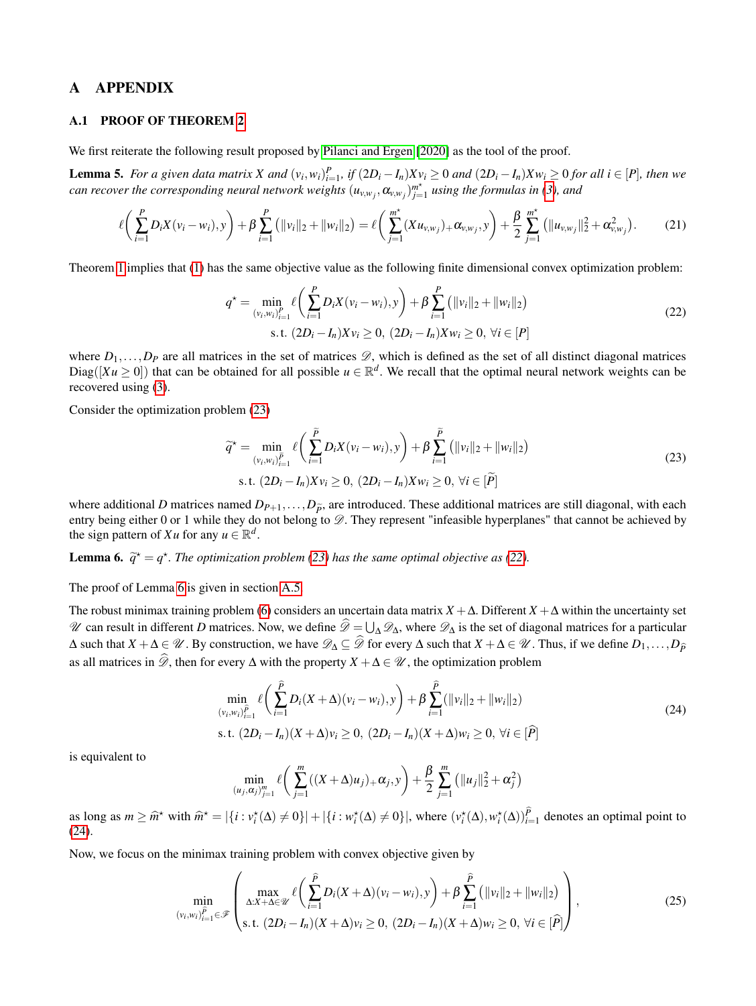## A APPENDIX

#### <span id="page-10-0"></span>A.1 PROOF OF THEOREM [2](#page-3-3)

We first reiterate the following result proposed by [Pilanci and Ergen](#page-9-5) [\[2020\]](#page-9-5) as the tool of the proof.

<span id="page-10-6"></span>**Lemma 5.** For a given data matrix X and  $(v_i, w_i)_{i=1}^p$ , if  $(2D_i - I_n)Xv_i \ge 0$  and  $(2D_i - I_n)Xw_i \ge 0$  for all  $i \in [P]$ , then we *can recover the corresponding neural network weights*  $(u_{v,w_j}, \alpha_{v,w_j})_{j=1}^{m^*}$ *j*=1 *using the formulas in [\(3\)](#page-1-3), and*

$$
\ell\bigg(\sum_{i=1}^{P}D_{i}X(v_{i}-w_{i}),y\bigg)+\beta\sum_{i=1}^{P}(\|v_{i}\|_{2}+\|w_{i}\|_{2})=\ell\bigg(\sum_{j=1}^{m^{*}}(Xu_{v,w_{j}})+\alpha_{v,w_{j}},y\bigg)+\frac{\beta}{2}\sum_{j=1}^{m^{*}}(\|u_{v,w_{j}}\|_{2}^{2}+\alpha_{v,w_{j}}^{2}).
$$
 (21)

Theorem [1](#page-1-4) implies that [\(1\)](#page-1-2) has the same objective value as the following finite dimensional convex optimization problem:

<span id="page-10-2"></span>
$$
q^* = \min_{(v_i, w_i)_{i=1}^P} \ell\left(\sum_{i=1}^P D_i X(v_i - w_i), y\right) + \beta \sum_{i=1}^P \left(\|v_i\|_2 + \|w_i\|_2\right)
$$
  
s.t.  $(2D_i - I_n)Xv_i \ge 0$ ,  $(2D_i - I_n)Xw_i \ge 0$ ,  $\forall i \in [P]$  (22)

where  $D_1, \ldots, D_P$  are all matrices in the set of matrices  $\mathscr{D}$ , which is defined as the set of all distinct diagonal matrices Diag( $[Xu \ge 0]$ ) that can be obtained for all possible  $u \in \mathbb{R}^d$ . We recall that the optimal neural network weights can be recovered using [\(3\)](#page-1-3).

Consider the optimization problem [\(23\)](#page-10-1)

<span id="page-10-1"></span>
$$
\widetilde{q}^* = \min_{(v_i, w_i)_{i=1}^{\widetilde{P}}} \ell\bigg(\sum_{i=1}^{\widetilde{P}} D_i X(v_i - w_i), y\bigg) + \beta \sum_{i=1}^{\widetilde{P}} \big(\|v_i\|_2 + \|w_i\|_2\big) \text{s.t. } (2D_i - I_n) X v_i \ge 0, (2D_i - I_n) X w_i \ge 0, \forall i \in [\widetilde{P}]
$$
\n(23)

where additional *D* matrices named  $D_{P+1},...,D_{\tilde{P}}$ , are introduced. These additional matrices are still diagonal, with each entry being either 0 or 1 while they do not belong to  $\mathscr{D}$ . They represent "infeasible hyperplanes" that cannot be achieved by the sign pattern of *Xu* for any  $u \in \mathbb{R}^d$ .

<span id="page-10-3"></span>**Lemma 6.**  $\widetilde{q}^* = q^*$ . The optimization problem [\(23\)](#page-10-1) has the same optimal objective as [\(22\)](#page-10-2).

The proof of Lemma [6](#page-10-3) is given in section [A.5.](#page-15-0)

The robust minimax training problem [\(6\)](#page-2-4) considers an uncertain data matrix  $X + \Delta$ . Different  $X + \Delta$  within the uncertainty set N can result in different *D* matrices. Now, we define  $\mathscr{D} = \bigcup_{\Delta} \mathscr{D}_{\Delta}$ , where  $\mathscr{D}_{\Delta}$  is the set of diagonal matrices for a particular  $\Delta$  such that  $X + \Delta \in \mathcal{U}$ . By construction, we have  $\mathcal{D}_{\Delta} \subseteq \widehat{\mathcal{D}}$  for every  $\Delta$  such that  $X + \Delta \in \mathcal{U}$ . Thus, if we define  $D_1, \ldots, D_{\widehat{D}}$ as all matrices in  $\mathscr{D}$ , then for every  $\Delta$  with the property  $X + \Delta \in \mathscr{U}$ , the optimization problem

<span id="page-10-4"></span>
$$
\min_{(v_i, w_i)_{i=1}^{\hat{P}}} \ell\left(\sum_{i=1}^{\hat{P}} D_i(X + \Delta)(v_i - w_i), y\right) + \beta \sum_{i=1}^{\hat{P}} (\|v_i\|_2 + \|w_i\|_2)
$$
\ns.t.  $(2D_i - I_n)(X + \Delta)v_i \ge 0$ ,  $(2D_i - I_n)(X + \Delta)w_i \ge 0$ ,  $\forall i \in [\hat{P}]$  (24)

is equivalent to

<span id="page-10-5"></span>
$$
\min_{(u_j, \alpha_j)_{j=1}^m} \ell\left(\sum_{j=1}^m ((X+\Delta)u_j)_{+} \alpha_j, y\right) + \frac{\beta}{2} \sum_{j=1}^m \left(\|u_j\|_2^2 + \alpha_j^2\right)
$$

as long as  $m \geq \hat{m}^*$  with  $\hat{m}^* = |\{i : v_i^*(\Delta) \neq 0\}| + |\{i : w_i^*(\Delta) \neq 0\}|$ , where  $(v_i^*(\Delta), w_i^*(\Delta))_{i=1}^P$  denotes an optimal point to [\(24\)](#page-10-4).

Now, we focus on the minimax training problem with convex objective given by

$$
\min_{(v_i, w_i)_{i=1}^{\hat{P}} \in \mathcal{F}} \left( \max_{\Delta: X + \Delta \in \mathcal{U}} \ell \left( \sum_{i=1}^{\hat{P}} D_i(X + \Delta)(v_i - w_i), y \right) + \beta \sum_{i=1}^{\hat{P}} \left( ||v_i||_2 + ||w_i||_2 \right) \right),
$$
\n
$$
(25)
$$
\n
$$
(25)
$$
\n
$$
\text{s.t. } (2D_i - I_n)(X + \Delta)v_i \ge 0, \ (2D_i - I_n)(X + \Delta)w_i \ge 0, \ \forall i \in [\hat{P}]
$$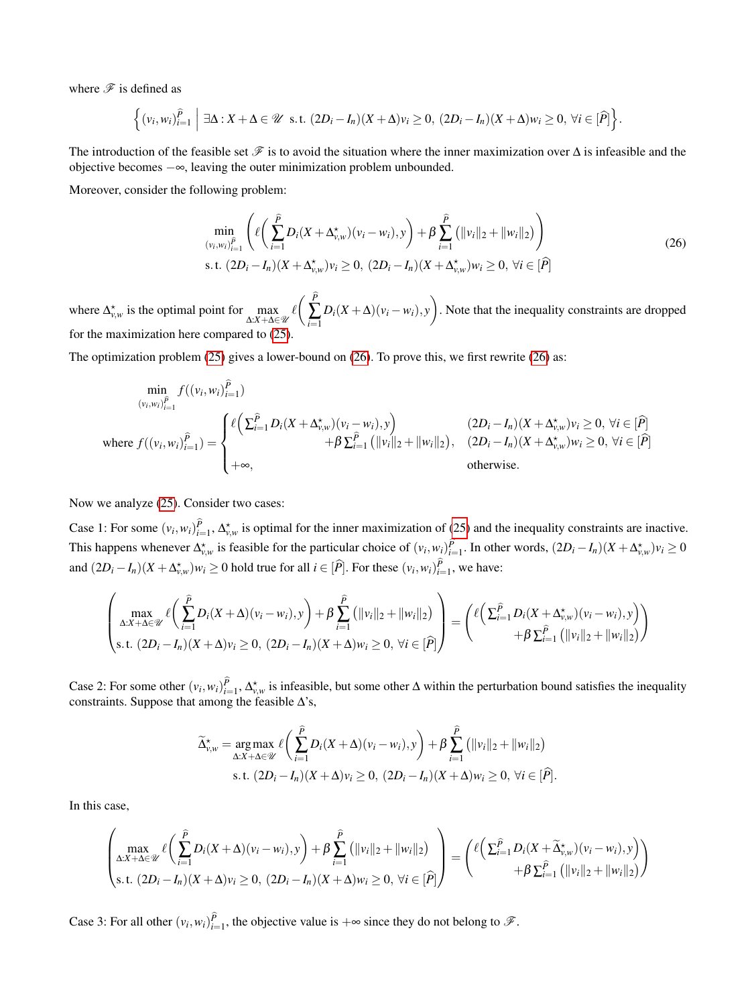where  $\mathscr F$  is defined as

$$
\left\{ (v_i, w_i)_{i=1}^{\widehat{P}} \middle| \exists \Delta : X + \Delta \in \mathcal{U} \text{ s.t. } (2D_i - I_n)(X + \Delta)v_i \ge 0, (2D_i - I_n)(X + \Delta)w_i \ge 0, \forall i \in [\widehat{P}] \right\}.
$$

The introduction of the feasible set  $\mathscr F$  is to avoid the situation where the inner maximization over  $\Delta$  is infeasible and the objective becomes −∞, leaving the outer minimization problem unbounded.

Moreover, consider the following problem:

<span id="page-11-0"></span>
$$
\min_{(v_i, w_i)_{i=1}^{\hat{P}}} \left( \ell \left( \sum_{i=1}^{\hat{P}} D_i (X + \Delta_{v,w}^{\star})(v_i - w_i), y \right) + \beta \sum_{i=1}^{\hat{P}} \left( ||v_i||_2 + ||w_i||_2 \right) \right)
$$
\ns.t.  $(2D_i - I_n)(X + \Delta_{v,w}^{\star})v_i \ge 0$ ,  $(2D_i - I_n)(X + \Delta_{v,w}^{\star})w_i \ge 0$ ,  $\forall i \in [\hat{P}]$  (26)

where  $\Delta_{v,w}^{\star}$  is the optimal point for  $\max_{\Delta:X+\Delta\in\mathcal{U}}\ell\left(\sum_{i=1}^{P}\Delta_{v}^{w}\right)$ ∑ *i*=1  $D_i(X + \Delta)(v_i - w_i), y$ . Note that the inequality constraints are dropped for the maximization here compared to [\(25\)](#page-10-5).

The optimization problem [\(25\)](#page-10-5) gives a lower-bound on [\(26\)](#page-11-0). To prove this, we first rewrite [\(26\)](#page-11-0) as:

$$
\min_{(v_i, w_i)_{i=1}^{\hat{P}} \atop j \text{where } f((v_i, w_i)_{i=1}^{\hat{P}}) = \begin{cases} \ell \Big( \sum_{i=1}^{\hat{P}} D_i (X + \Delta_{v,w}^{\star})(v_i - w_i), y \Big) & (2D_i - I_n)(X + \Delta_{v,w}^{\star})v_i \ge 0, \ \forall i \in [\hat{P}] \\ \quad + \beta \sum_{i=1}^{\hat{P}} \big( \|v_i\|_2 + \|w_i\|_2 \big), & (2D_i - I_n)(X + \Delta_{v,w}^{\star})w_i \ge 0, \ \forall i \in [\hat{P}] \\ \quad + \infty, & \text{otherwise.} \end{cases}
$$

Now we analyze [\(25\)](#page-10-5). Consider two cases:

Case 1: For some  $(v_i, w_i)_{i=1}^P$ ,  $\Delta_{v,w}^*$  is optimal for the inner maximization of [\(25\)](#page-10-5) and the inequality constraints are inactive. This happens whenever  $\Delta_{v,w}^{\star}$  is feasible for the particular choice of  $(v_i, w_i)_{i=1}^P$ . In other words,  $(2D_i - I_n)(X + \Delta_{v,w}^{\star})v_i \ge 0$ and  $(2D_i - I_n)(X + \Delta_{v,w}^*)w_i \ge 0$  hold true for all  $i \in [\hat{P}]$ . For these  $(v_i, w_i)_{i=1}^P$ , we have:

$$
\left(\max_{\Delta:X+\Delta\in\mathcal{U}}\ell\left(\sum_{i=1}^{\widehat{P}}D_i(X+\Delta)(v_i-w_i),y\right)+\beta\sum_{i=1}^{\widehat{P}}\left(\|v_i\|_2+\|w_i\|_2\right)\right) = \left(\ell\left(\sum_{i=1}^{\widehat{P}}D_i(X+\Delta_{v,w}^*)(v_i-w_i),y\right)\right) + \beta\sum_{i=1}^{\widehat{P}}\left(\|v_i\|_2+\|w_i\|_2\right) + \beta\sum_{i=1}^{\widehat{P}}\left(\|v_i\|_2+\|w_i\|_2\right)\right)
$$

Case 2: For some other  $(v_i, w_i)_{i=1}^P$ ,  $\Delta_{v,w}^*$  is infeasible, but some other  $\Delta$  within the perturbation bound satisfies the inequality constraints. Suppose that among the feasible  $\Delta$ 's,

$$
\widetilde{\Delta}_{v,w}^{\star} = \underset{\Delta:X+\Delta\in\mathcal{U}}{\arg\max} \ell\bigg(\sum_{i=1}^{\widehat{P}} D_i(X+\Delta)(v_i-w_i),y\bigg) + \beta \sum_{i=1}^{\widehat{P}} \big(\|v_i\|_2 + \|w_i\|_2\big) \text{s.t. } (2D_i - I_n)(X+\Delta)v_i \ge 0, (2D_i - I_n)(X+\Delta)w_i \ge 0, \forall i \in [\widehat{P}].
$$

In this case,

$$
\left(\max_{\Delta:X+\Delta\in\mathcal{U}}\ell\left(\sum_{i=1}^{\widehat{P}}D_i(X+\Delta)(v_i-w_i),y\right)+\beta\sum_{i=1}^{\widehat{P}}\left(\|v_i\|_2+\|w_i\|_2\right)\right) = \left(\ell\left(\sum_{i=1}^{\widehat{P}}D_i(X+\widetilde{\Delta}_{v,w}^{\star})(v_i-w_i),y\right)\right) + \beta\sum_{i=1}^{\widehat{P}}\left(\|v_i\|_2+\|w_i\|_2\right) + \beta\sum_{i=1}^{\widehat{P}}\left(\|v_i\|_2+\|w_i\|_2\right)\right)
$$

Case 3: For all other  $(v_i, w_i)_{i=1}^P$ , the objective value is  $+\infty$  since they do not belong to  $\mathscr F$ .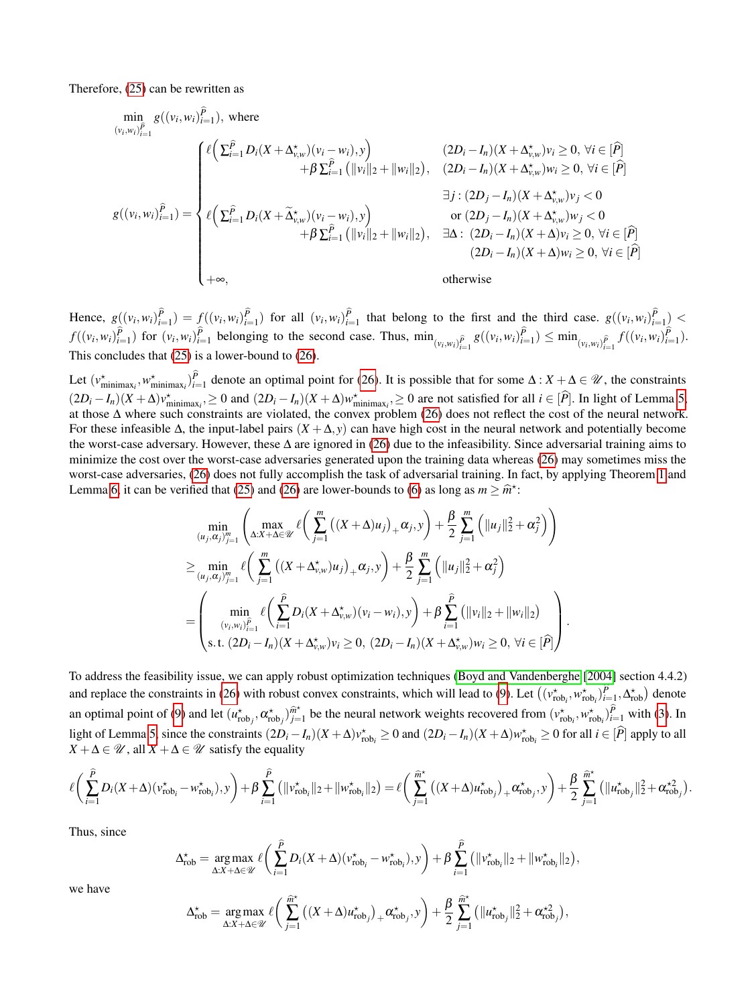Therefore, [\(25\)](#page-10-5) can be rewritten as

$$
\min_{(v_i, w_i)_{i=1}^{\hat{P}} g((v_i, w_i)_{i=1}^{\hat{P}}), \text{ where}
$$
\n
$$
g((v_i, w_i)_{i=1}^{\hat{P}}) = \begin{cases}\n\ell \left( \sum_{i=1}^{\hat{P}} D_i(X + \Delta_{v,w}^{\star})(v_i - w_i), y \right) & (2D_i - I_n)(X + \Delta_{v,w}^{\star})v_i \ge 0, \forall i \in [\hat{P}] \\
+ \beta \sum_{i=1}^{\hat{P}} (\|v_i\|_2 + \|w_i\|_2), & (2D_i - I_n)(X + \Delta_{v,w}^{\star})w_i \ge 0, \forall i \in [\hat{P}] \\
\exists j : (2D_j - I_n)(X + \Delta_{v,w}^{\star})v_j < 0 \\
\exists j : (2D_j - I_n)(X + \Delta_{v,w}^{\star})v_j < 0 \\
+ \beta \sum_{i=1}^{\hat{P}} (\|v_i\|_2 + \|w_i\|_2), & \exists \Delta : (2D_i - I_n)(X + \Delta_{v,w}^{\star})w_i \ge 0, \forall i \in [\hat{P}]\n\end{cases}
$$
\n
$$
(2D_i - I_n)(X + \Delta_{v,w}^{\star})w_j < 0
$$
\n
$$
(2D_i - I_n)(X + \Delta_{v,w}^{\star})w_j \ge 0, \forall i \in [\hat{P}]\n\}
$$
\n
$$
(2D_i - I_n)(X + \Delta_{v,w}^{\star})w_j \ge 0, \forall i \in [\hat{P}]\n\}
$$
\n
$$
(2D_i - I_n)(X + \Delta_{v,w}^{\star})w_j \ge 0, \forall i \in [\hat{P}]\n\}
$$

Hence,  $g((v_i, w_i)_{i=1}^P) = f((v_i, w_i)_{i=1}^P)$  for all  $(v_i, w_i)_{i=1}^P$  that belong to the first and the third case.  $g((v_i, w_i)_{i=1}^P)$  $f((v_i, w_i)_{i=1}^P)$  for  $(v_i, w_i)_{i=1}^P$  belonging to the second case. Thus,  $\min_{(v_i, w_i)_{i=1}^P} g((v_i, w_i)_{i=1}^P) \le \min_{(v_i, w_i)_{i=1}^P} f((v_i, w_i)_{i=1}^P)$ . This concludes that [\(25\)](#page-10-5) is a lower-bound to [\(26\)](#page-11-0).

Let  $(v_{\text{minimax}_i}^*, w_{\text{minimax}_i}^*)_{i=1}^P$  denote an optimal point for [\(26\)](#page-11-0). It is possible that for some  $\Delta: X + \Delta \in \mathcal{U}$ , the constraints  $(2D_i - I_n)(X + \Delta)v_{\text{minimax}_i}^* \ge 0$  and  $(2D_i - I_n)(X + \Delta)w_{\text{minimax}_i}^* \ge 0$  are not satisfied for all  $i \in [\hat{P}]$ . In light of Lemma [5,](#page-10-6) at those ∆ where such constraints are violated, the convex problem [\(26\)](#page-11-0) does not reflect the cost of the neural network. For these infeasible ∆, the input-label pairs (*X* +∆, *y*) can have high cost in the neural network and potentially become the worst-case adversary. However, these ∆ are ignored in [\(26\)](#page-11-0) due to the infeasibility. Since adversarial training aims to minimize the cost over the worst-case adversaries generated upon the training data whereas [\(26\)](#page-11-0) may sometimes miss the worst-case adversaries, [\(26\)](#page-11-0) does not fully accomplish the task of adversarial training. In fact, by applying Theorem [1](#page-1-4) and Lemma [6,](#page-10-3) it can be verified that [\(25\)](#page-10-5) and [\(26\)](#page-11-0) are lower-bounds to [\(6\)](#page-2-4) as long as  $m \geq \hat{m}^*$ :

$$
\min_{(u_j, \alpha_j)_{j=1}^m} \left( \max_{\Delta: X + \Delta \in \mathcal{U}} \ell \left( \sum_{j=1}^m \left( (X + \Delta) u_j \right)_+ \alpha_j, y \right) + \frac{\beta}{2} \sum_{j=1}^m \left( \|u_j\|_2^2 + \alpha_j^2 \right) \right)
$$
\n
$$
\geq \min_{(u_j, \alpha_j)_{j=1}^m} \ell \left( \sum_{j=1}^m \left( (X + \Delta_{v,w}^* ) u_j \right)_+ \alpha_j, y \right) + \frac{\beta}{2} \sum_{j=1}^m \left( \|u_j\|_2^2 + \alpha_j^2 \right)
$$
\n
$$
= \left( \min_{(v_i, w_i)_{i=1}^{\tilde{P}}} \ell \left( \sum_{i=1}^{\tilde{P}} D_i (X + \Delta_{v,w}^* ) (v_i - w_i), y \right) + \beta \sum_{i=1}^{\tilde{P}} \left( \|v_i\|_2 + \|w_i\|_2 \right) \right).
$$
\n
$$
s.t. (2D_i - I_n) (X + \Delta_{v,w}^* ) v_i \geq 0, (2D_i - I_n) (X + \Delta_{v,w}^* ) w_i \geq 0, \forall i \in [\hat{P}].
$$

To address the feasibility issue, we can apply robust optimization techniques [\(Boyd and Vandenberghe](#page-8-19) [\[2004\]](#page-8-19) section 4.4.2) and replace the constraints in [\(26\)](#page-11-0) with robust convex constraints, which will lead to [\(9\)](#page-3-2). Let  $((v_{\text{rob}_i}^*, w_{\text{rob}_i}^*)_{i=1}^p, \Delta_{\text{rob}}^*)$  denote an optimal point of [\(9\)](#page-3-2) and let  $(u_{\text{rob}_j}^{\star}, \alpha_{\text{rob}_j}^{\star})_{j=1}^{\hat{m}^{\star}}$  $\hat{m}^*$  be the neural network weights recovered from  $(v_{\text{rob}_i}^*, w_{\text{rob}_i}^*)_{i=1}^P$  with [\(3\)](#page-1-3). In light of Lemma [5,](#page-10-6) since the constraints  $(2D_i - I_n)(X + \Delta)v_{\text{rob}_i}^* \ge 0$  and  $(2D_i - I_n)(X + \Delta)w_{\text{rob}_i}^* \ge 0$  for all  $i \in [\hat{P}]$  apply to all  $X + \Delta \in \mathcal{U}$ , all  $X + \Delta \in \mathcal{U}$  satisfy the equality

$$
\ell\bigg(\sum_{i=1}^{\widehat{P}}D_i(X+\Delta)(v_{\mathrm{rob}_i}^\star-w_{\mathrm{rob}_i}^\star),y\bigg)+\beta\sum_{i=1}^{\widehat{P}}\big(\|v_{\mathrm{rob}_i}^\star\|_2+\|w_{\mathrm{rob}_i}^\star\|_2\big)=\ell\bigg(\sum_{j=1}^{\widehat{m}^\star}\big((X+\Delta)u_{\mathrm{rob}_j}^\star\big)_+\alpha_{\mathrm{rob}_j}^\star,y\bigg)+\frac{\beta}{2}\sum_{j=1}^{\widehat{m}^\star}\big(\|u_{\mathrm{rob}_j}^\star\|_2^2+\alpha_{\mathrm{rob}_j}^{\star 2}\big).
$$

Thus, since

$$
\Delta_{\text{rob}}^{\star} = \underset{\Delta:X+\Delta\in\mathscr{U}}{\arg\max} \ell\bigg(\sum_{i=1}^{\widehat{P}} D_i(X+\Delta)(v_{\text{rob}_i}^{\star} - w_{\text{rob}_i}^{\star}),y\bigg) + \beta \sum_{i=1}^{\widehat{P}} \big(\|v_{\text{rob}_i}^{\star}\|_2 + \|w_{\text{rob}_i}^{\star}\|_2\big),
$$

we have

$$
\Delta_{\text{rob}}^{\star} = \underset{\Delta:X+\Delta\in\mathscr{U}}{\arg\max}\,\ell\bigg(\sum_{j=1}^{\widehat{m}^{\star}}\big((X+\Delta)u_{\text{rob}_j}^{\star}\big)_{+}\alpha_{\text{rob}_j}^{\star},y\bigg) + \frac{\beta}{2}\sum_{j=1}^{\widehat{m}^{\star}}\big(\|u_{\text{rob}_j}^{\star}\|_2^2 + \alpha_{\text{rob}_j}^{\star 2}\big),
$$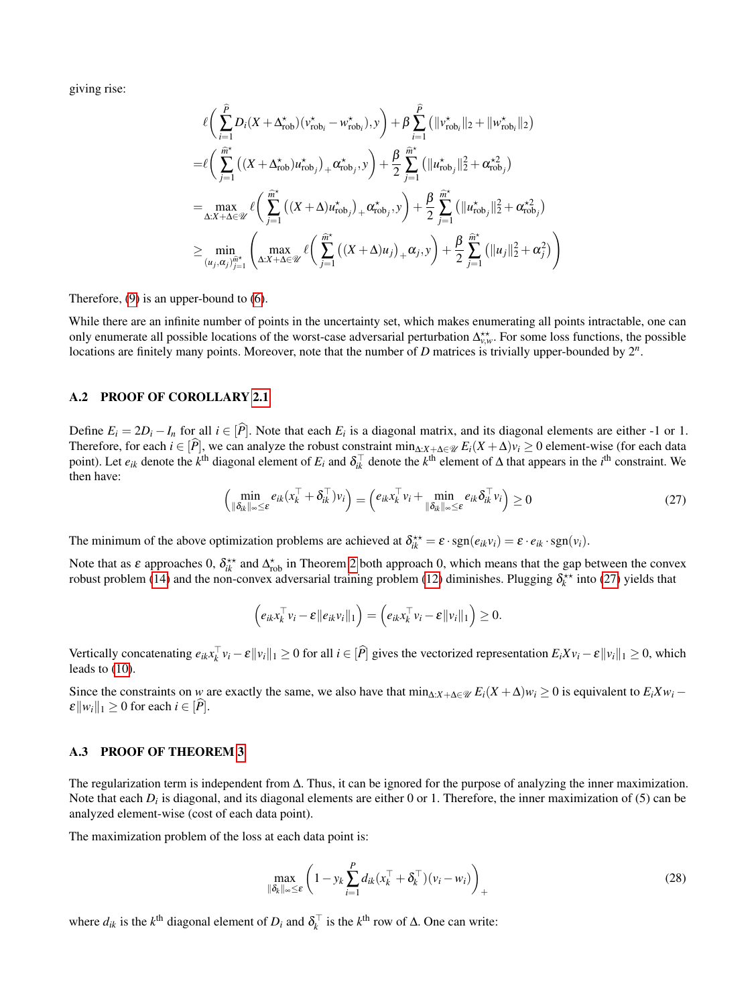giving rise:

$$
\ell \bigg( \sum_{i=1}^{\hat{P}} D_i (X + \Delta_{\text{rob}}^{\star})(v_{\text{rob}_i}^{\star} - w_{\text{rob}_i}^{\star}), y \bigg) + \beta \sum_{i=1}^{\hat{P}} \big( \|v_{\text{rob}_i}^{\star} \|_2 + \|w_{\text{rob}_i}^{\star} \|_2 \big)
$$
\n
$$
= \ell \bigg( \sum_{j=1}^{\hat{m}^{\star}} \big( (X + \Delta_{\text{rob}}^{\star}) u_{\text{rob}_j}^{\star} \big)_{+} \alpha_{\text{rob}_j}^{\star}, y \bigg) + \frac{\beta}{2} \sum_{j=1}^{\hat{m}^{\star}} \big( \|u_{\text{rob}_j}^{\star} \|_2^2 + \alpha_{\text{rob}_j}^{\star 2} \big)
$$
\n
$$
= \max_{\Delta: X + \Delta \in \mathcal{U}} \ell \bigg( \sum_{j=1}^{\hat{m}^{\star}} \big( (X + \Delta) u_{\text{rob}_j}^{\star} \big)_{+} \alpha_{\text{rob}_j}^{\star}, y \bigg) + \frac{\beta}{2} \sum_{j=1}^{\hat{m}^{\star}} \big( \|u_{\text{rob}_j}^{\star} \|_2^2 + \alpha_{\text{rob}_j}^{\star 2} \big)
$$
\n
$$
\geq \min_{(u_j, \alpha_j)_{j=1}^{\hat{m}^{\star}}} \left( \max_{\Delta: X + \Delta \in \mathcal{U}} \ell \bigg( \sum_{j=1}^{\hat{m}^{\star}} \big( (X + \Delta) u_j \big)_{+} \alpha_j, y \bigg) + \frac{\beta}{2} \sum_{j=1}^{\hat{m}^{\star}} \big( \|u_j\|_2^2 + \alpha_j^2 \big) \right)
$$

Therefore, [\(9\)](#page-3-2) is an upper-bound to [\(6\)](#page-2-4).

While there are an infinite number of points in the uncertainty set, which makes enumerating all points intractable, one can only enumerate all possible locations of the worst-case adversarial perturbation  $\Delta_{v,w}^{**}$ . For some loss functions, the possible locations are finitely many points. Moreover, note that the number of *D* matrices is trivially upper-bounded by  $2^n$ .

### <span id="page-13-0"></span>A.2 PROOF OF COROLLARY [2.1](#page-3-5)

<span id="page-13-2"></span>Define  $E_i = 2D_i - I_n$  for all  $i \in [P]$ . Note that each  $E_i$  is a diagonal matrix, and its diagonal elements are either -1 or 1. Therefore, for each  $i \in [P]$ , we can analyze the robust constraint  $\min_{\Delta: X + \Delta \in \mathcal{U}} E_i(X + \Delta) v_i \ge 0$  element-wise (for each data point). Let  $e_{ik}$  denote the  $k^{\text{th}}$  diagonal element of  $E_i$  and  $\delta_{ik}^{\top}$  denote the  $k^{\text{th}}$  element of  $\Delta$  that appears in the *i*<sup>th</sup> constraint. We then have:

$$
\left(\min_{\|\delta_{ik}\|_{\infty}\leq\varepsilon}e_{ik}(x_k^{\top}+\delta_{ik}^{\top})v_i\right)=\left(e_{ik}x_k^{\top}v_i+\min_{\|\delta_{ik}\|_{\infty}\leq\varepsilon}e_{ik}\delta_{ik}^{\top}v_i\right)\geq 0
$$
\n(27)

The minimum of the above optimization problems are achieved at  $\delta_{ik}^{**} = \varepsilon \cdot \text{sgn}(e_{ik}v_i) = \varepsilon \cdot e_{ik} \cdot \text{sgn}(v_i)$ .

Note that as  $\varepsilon$  approaches 0,  $\delta_{ik}^{**}$  and  $\Delta_{\text{rob}}^*$  in Theorem [2](#page-3-3) both approach 0, which means that the gap between the convex robust problem [\(14\)](#page-4-4) and the non-convex adversarial training problem [\(12\)](#page-4-1) diminishes. Plugging  $\delta_k^{**}$  into [\(27\)](#page-13-2) yields that

$$
\left(e_{ik}x_k^\top v_i - \varepsilon \|e_{ik}v_i\|_1\right) = \left(e_{ik}x_k^\top v_i - \varepsilon \|v_i\|_1\right) \geq 0.
$$

Vertically concatenating  $e_{ik}x_k^{\top}v_i - \varepsilon ||v_i||_1 \ge 0$  for all  $i \in [\hat{P}]$  gives the vectorized representation  $E_i X v_i - \varepsilon ||v_i||_1 \ge 0$ , which leads to [\(10\)](#page-3-7).

Since the constraints on *w* are exactly the same, we also have that  $\min_{\Delta: X + \Delta \in \mathcal{U}} E_i(X + \Delta)w_i \geq 0$  is equivalent to  $E_i X w_i$  –  $\mathcal{E}||w_i||_1 \geq 0$  for each  $i \in [\widehat{P}]$ .

#### <span id="page-13-1"></span>A.3 PROOF OF THEOREM [3](#page-4-2)

The regularization term is independent from ∆. Thus, it can be ignored for the purpose of analyzing the inner maximization. Note that each  $D_i$  is diagonal, and its diagonal elements are either 0 or 1. Therefore, the inner maximization of (5) can be analyzed element-wise (cost of each data point).

The maximization problem of the loss at each data point is:

<span id="page-13-3"></span>
$$
\max_{\|\delta_k\|_{\infty}\leq\varepsilon} \left(1 - y_k \sum_{i=1}^P d_{ik}(x_k^\top + \delta_k^\top)(v_i - w_i)\right)_+ \tag{28}
$$

where  $d_{ik}$  is the  $k^{\text{th}}$  diagonal element of  $D_i$  and  $\delta_k^{\top}$  is the  $k^{\text{th}}$  row of  $\Delta$ . One can write: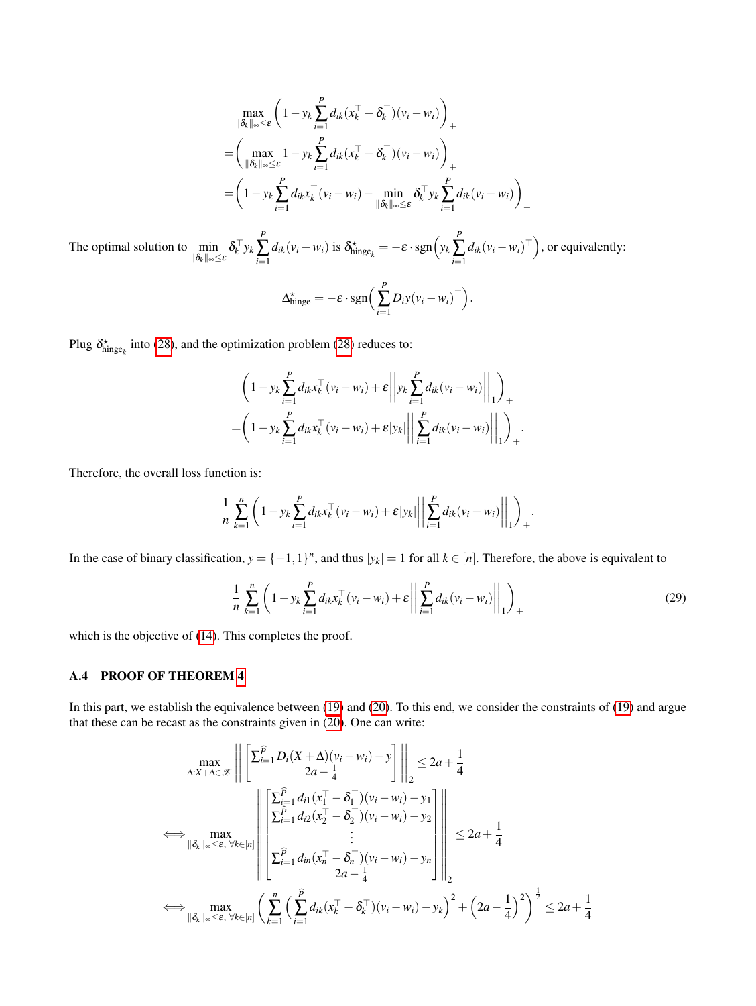$$
\max_{\|\delta_k\|_{\infty}\leq\varepsilon} \left(1 - y_k \sum_{i=1}^P d_{ik}(x_k^\top + \delta_k^\top)(v_i - w_i)\right)_+ \n= \left(\max_{\|\delta_k\|_{\infty}\leq\varepsilon} 1 - y_k \sum_{i=1}^P d_{ik}(x_k^\top + \delta_k^\top)(v_i - w_i)\right)_+ \n= \left(1 - y_k \sum_{i=1}^P d_{ik}x_k^\top(v_i - w_i) - \min_{\|\delta_k\|_{\infty}\leq\varepsilon} \delta_k^\top y_k \sum_{i=1}^P d_{ik}(v_i - w_i)\right)_+
$$

The optimal solution to  $\min_{\|\delta_k\|_{\infty}\leq \varepsilon} \delta_k^{\top} y_k$ *P* ∑ *i*=1  $d_{ik}(v_i - w_i)$  is  $\delta_{\text{hinge}_k}^* = -\varepsilon \cdot \text{sgn}\left(y_k\right)$ *P* ∑ *i*=1  $d_{ik}(v_i - w_i)^\top$ ), or equivalently:

$$
\Delta_{\text{hinge}}^{\star} = -\varepsilon \cdot \text{sgn}\Big(\sum_{i=1}^{P} D_{i} y (v_{i} - w_{i})^{\top}\Big).
$$

Plug  $\delta^*_{\text{hinge}_k}$  into [\(28\)](#page-13-3), and the optimization problem (28) reduces to:

$$
\left(1 - y_k \sum_{i=1}^P d_{ik} x_k^\top (v_i - w_i) + \varepsilon \left\| y_k \sum_{i=1}^P d_{ik} (v_i - w_i) \right\|_1 \right)_+ = \left(1 - y_k \sum_{i=1}^P d_{ik} x_k^\top (v_i - w_i) + \varepsilon |y_k| \left\| \sum_{i=1}^P d_{ik} (v_i - w_i) \right\|_1 \right)_+.
$$

Therefore, the overall loss function is:

$$
\frac{1}{n}\sum_{k=1}^n\left(1-y_k\sum_{i=1}^P d_{ik}x_k^\top(v_i-w_i)+\varepsilon|y_k|\bigg|\bigg|\sum_{i=1}^P d_{ik}(v_i-w_i)\bigg|\bigg|_1\right)_+.
$$

In the case of binary classification,  $y = \{-1, 1\}^n$ , and thus  $|y_k| = 1$  for all  $k \in [n]$ . Therefore, the above is equivalent to

$$
\frac{1}{n} \sum_{k=1}^{n} \left( 1 - y_k \sum_{i=1}^{P} d_{ik} x_k^{\top} (v_i - w_i) + \varepsilon \left\| \sum_{i=1}^{P} d_{ik} (v_i - w_i) \right\|_{1} \right)_{+}
$$
\n(29)

which is the objective of  $(14)$ . This completes the proof.

#### <span id="page-14-0"></span>A.4 PROOF OF THEOREM [4](#page-5-2)

In this part, we establish the equivalence between [\(19\)](#page-5-6) and [\(20\)](#page-5-3). To this end, we consider the constraints of [\(19\)](#page-5-6) and argue that these can be recast as the constraints given in [\(20\)](#page-5-3). One can write:

$$
\max_{\Delta:X+\Delta\in\mathcal{X}} \left\| \left[ \sum_{i=1}^{\widehat{P}} D_i(X+\Delta)(v_i-w_i) - y \right]_2 \right\|_2 \le 2a + \frac{1}{4}
$$
\n
$$
\Leftrightarrow \max_{\|\delta_k\|_{\infty}\leq\varepsilon, \ \forall k\in[n]} \left\| \left[ \sum_{i=1}^{\widehat{P}} d_{i1}(x_i^{\top} - \delta_i^{\top})(v_i-w_i) - y_1 \right]_2 \right\|_2 \le 2a + \frac{1}{4}
$$
\n
$$
\Leftrightarrow \max_{\|\delta_k\|_{\infty}\leq\varepsilon, \ \forall k\in[n]} \left\| \left[ \sum_{i=1}^{\widehat{P}} d_{i2}(x_2^{\top} - \delta_2^{\top})(v_i-w_i) - y_2 \right]_2 \right\|_2 \le 2a + \frac{1}{4}
$$
\n
$$
\Leftrightarrow \max_{\|\delta_k\|_{\infty}\leq\varepsilon, \ \forall k\in[n]} \left( \sum_{k=1}^{\widehat{P}} \left( \sum_{i=1}^{\widehat{P}} d_{ik}(x_k^{\top} - \delta_k^{\top})(v_i-w_i) - y_k \right)^2 + \left( 2a - \frac{1}{4} \right)^2 \right)^{\frac{1}{2}} \le 2a + \frac{1}{4}
$$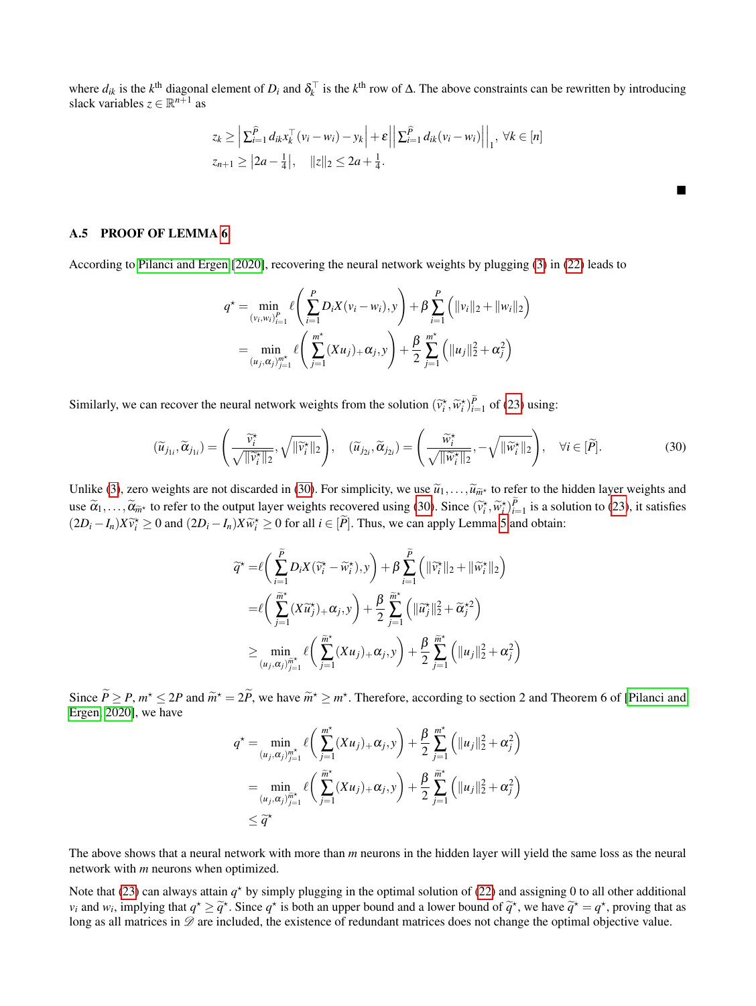where  $d_{ik}$  is the  $k^{\text{th}}$  diagonal element of  $D_i$  and  $\delta_k^{\top}$  is the  $k^{\text{th}}$  row of  $\Delta$ . The above constraints can be rewritten by introducing slack variables  $z \in \mathbb{R}^{n+1}$  as

$$
z_k \geq \left| \sum_{i=1}^{\widehat{P}} d_{ik} x_k^{\top} (v_i - w_i) - y_k \right| + \varepsilon \left| \left| \sum_{i=1}^{\widehat{P}} d_{ik} (v_i - w_i) \right| \right|_1, \ \forall k \in [n]
$$
  

$$
z_{n+1} \geq \left| 2a - \frac{1}{4} \right|, \quad \left| |z| \right|_2 \leq 2a + \frac{1}{4}.
$$

<span id="page-15-1"></span> $\blacksquare$ 

#### <span id="page-15-0"></span>A.5 PROOF OF LEMMA [6](#page-10-3)

According to [Pilanci and Ergen](#page-9-5) [\[2020\]](#page-9-5), recovering the neural network weights by plugging [\(3\)](#page-1-3) in [\(22\)](#page-10-2) leads to

$$
q^* = \min_{(v_i, w_i)_{i=1}^P} \ell\left(\sum_{i=1}^P D_i X(v_i - w_i), y\right) + \beta \sum_{i=1}^P \left(\|v_i\|_2 + \|w_i\|_2\right)
$$
  
= 
$$
\min_{(u_j, \alpha_j)_{j=1}^{m^*}} \ell\left(\sum_{j=1}^{m^*} (Xu_j)_+ \alpha_j, y\right) + \frac{\beta}{2} \sum_{j=1}^{m^*} \left(\|u_j\|_2^2 + \alpha_j^2\right)
$$

Similarly, we can recover the neural network weights from the solution  $(\widetilde{v}_i^*, \widetilde{w}_i^*)_{i=1}^P$  of [\(23\)](#page-10-1) using:

$$
(\widetilde{u}_{j_{1i}}, \widetilde{\alpha}_{j_{1i}}) = \left(\frac{\widetilde{v}_i^{\star}}{\sqrt{\|\widetilde{v}_i^{\star}\|_2}}, \sqrt{\|\widetilde{v}_i^{\star}\|_2}\right), \quad (\widetilde{u}_{j_{2i}}, \widetilde{\alpha}_{j_{2i}}) = \left(\frac{\widetilde{w}_i^{\star}}{\sqrt{\|\widetilde{w}_i^{\star}\|_2}}, -\sqrt{\|\widetilde{w}_i^{\star}\|_2}\right), \quad \forall i \in [\widetilde{P}].
$$
\n(30)

Unlike [\(3\)](#page-1-3), zero weights are not discarded in [\(30\)](#page-15-1). For simplicity, we use  $\tilde{u}_1, \ldots, \tilde{u}_{\tilde{m}^*}$  to refer to the hidden layer weights and  $\tilde{u}_1, \ldots, \tilde{u}_{\tilde{m}^*}$ use  $\widetilde{\alpha}_1, \ldots, \widetilde{\alpha}_{\widetilde{m}}$  to refer to the output layer weights recovered using [\(30\)](#page-15-1). Since  $(\widetilde{v}_i^*, \widetilde{w}_i^*)_{i=1}^p$  is a solution to [\(23\)](#page-10-1), it satisfies  $(2D_{n-1}, V_{i}^{\infty}) \geq 0$  and  $(2D_{n-1}, V_{i}^{\infty}) \geq 0$  an  $(2D_i - I_n)X\widetilde{v}_i^* \ge 0$  and  $(2D_i - I_n)X\widetilde{w}_i^* \ge 0$  for all  $i \in [\widetilde{P}]$ . Thus, we can apply Lemma [5](#page-10-6) and obtain:

$$
\widetilde{q}^* = \ell \bigg( \sum_{i=1}^{\widetilde{P}} D_i X(\widetilde{v}_i^* - \widetilde{w}_i^*), y \bigg) + \beta \sum_{i=1}^{\widetilde{P}} \bigg( \| \widetilde{v}_i^* \|_2 + \| \widetilde{w}_i^* \|_2 \bigg)
$$
  
\n
$$
= \ell \bigg( \sum_{j=1}^{\widetilde{m}^*} (X \widetilde{u}_j^*) + \alpha_j, y \bigg) + \frac{\beta}{2} \sum_{j=1}^{\widetilde{m}^*} \bigg( \| \widetilde{u}_j^* \|_2^2 + \widetilde{\alpha}_j^{*2} \bigg)
$$
  
\n
$$
\geq \min_{(u_j, \alpha_j)_{j=1}^{\widetilde{m}^*}} \ell \bigg( \sum_{j=1}^{\widetilde{m}^*} (X u_j) + \alpha_j, y \bigg) + \frac{\beta}{2} \sum_{j=1}^{\widetilde{m}^*} \bigg( \| u_j \|_2^2 + \alpha_j^2 \bigg)
$$

Since  $\widetilde{P} \geq P$ ,  $m^* \leq 2P$  and  $\widetilde{m}^* = 2\widetilde{P}$ , we have  $\widetilde{m}^* \geq m^*$ . Therefore, according to section 2 and Theorem 6 of [\[Pilanci and](#page-9-5) [Ergen, 2020\]](#page-9-5), we have

$$
q^* = \min_{(u_j, \alpha_j)_{j=1}^{m^*}} \ell\left(\sum_{j=1}^{m^*} (Xu_j)_{+} \alpha_j, y\right) + \frac{\beta}{2} \sum_{j=1}^{m^*} \left(\|u_j\|_2^2 + \alpha_j^2\right)
$$
  
= 
$$
\min_{(u_j, \alpha_j)_{j=1}^{\widetilde{m}^*}} \ell\left(\sum_{j=1}^{\widetilde{m}^*} (Xu_j)_{+} \alpha_j, y\right) + \frac{\beta}{2} \sum_{j=1}^{\widetilde{m}^*} \left(\|u_j\|_2^2 + \alpha_j^2\right)
$$
  

$$
\leq \widetilde{q}^*
$$

The above shows that a neural network with more than *m* neurons in the hidden layer will yield the same loss as the neural network with *m* neurons when optimized.

Note that [\(23\)](#page-10-1) can always attain  $q^*$  by simply plugging in the optimal solution of [\(22\)](#page-10-2) and assigning 0 to all other additional *v*<sub>*i*</sub> and *w*<sub>*i*</sub>, implying that  $q^* \geq \tilde{q}^*$ . Since  $q^*$  is both an upper bound and a lower bound of  $\tilde{q}^*$ , we have  $\tilde{q}^* = q^*$ , proving that as long as all matrices in  $D$  are included, the existence of redundant matrices does not change the optimal objective value.